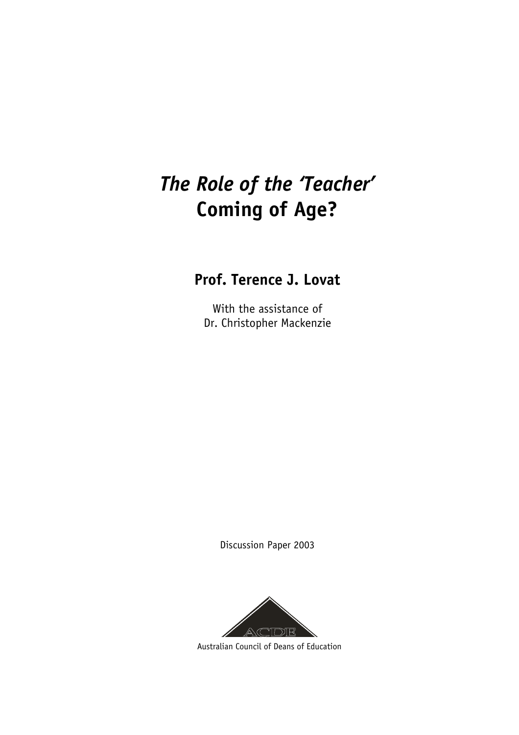# *The Role of the 'Teacher'* **Coming of Age?**

# **Prof. Terence J. Lovat**

With the assistance of Dr. Christopher Mackenzie

Discussion Paper 2003



Australian Council of Deans of Education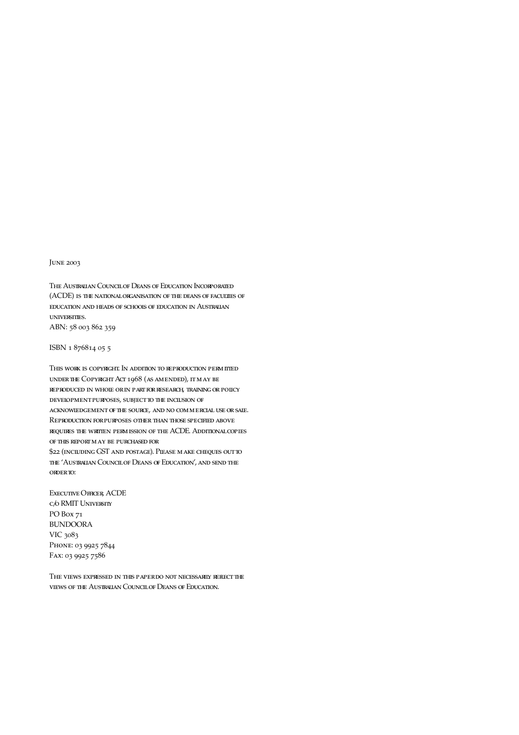June 2003

The Australian Council of Deans of Education Incorporated (ACDE) is the national organisation of the deans of faculties of education and heads of schools of education in Australian universities. ABN: 58 003 862 359

ISBN 1 876814 05 5

This work is copyright. In addition to reproduction permitted under the Copyright Act 1968 (as amended), it may be reproduced in whole or in part for research, training or policy development purposes, subject to the inclusion of acknowledgement of the source, and no commercial use or sale. Reproduction for purposes other than those specified above requires the written permission of the ACDE. Additional copies of this report may be purchased for \$22 (including GST and postage). Please make cheques out to

the 'Australian Council of Deans of Education', and send the order to:

Executive Officer, ACDE c/o RMIT University PO Box 71 BUNDOORA VIC 3083 PHONE: 03 9925 7844 Fax: 03 9925 7586

The views expressed in this paper do not necessarily reflect the views of the Australian Council of Deans of Education.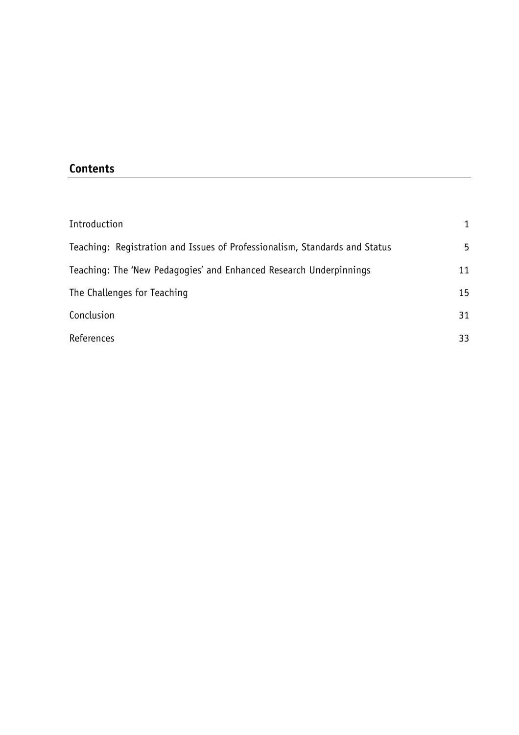# **Contents**

| Introduction                                                               | 1  |
|----------------------------------------------------------------------------|----|
| Teaching: Registration and Issues of Professionalism, Standards and Status | 5  |
| Teaching: The 'New Pedagogies' and Enhanced Research Underpinnings         | 11 |
| The Challenges for Teaching                                                | 15 |
| Conclusion                                                                 | 31 |
| References                                                                 | 33 |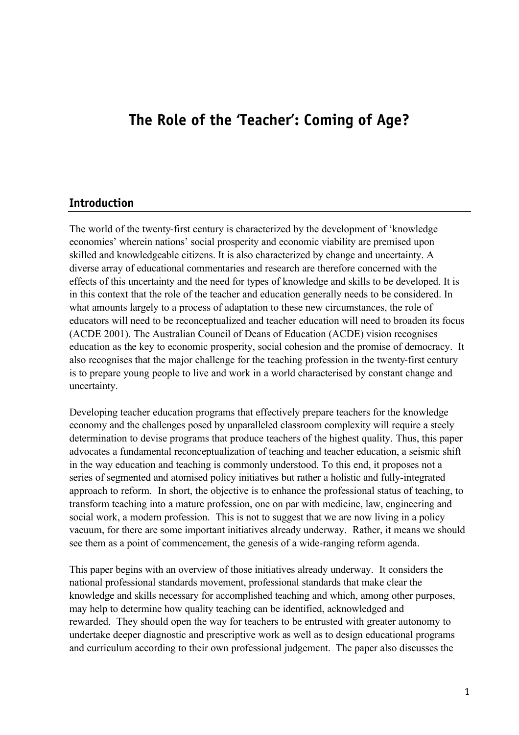# **The Role of the 'Teacher': Coming of Age?**

#### **Introduction**

The world of the twenty-first century is characterized by the development of 'knowledge economies' wherein nations' social prosperity and economic viability are premised upon skilled and knowledgeable citizens. It is also characterized by change and uncertainty. A diverse array of educational commentaries and research are therefore concerned with the effects of this uncertainty and the need for types of knowledge and skills to be developed. It is in this context that the role of the teacher and education generally needs to be considered. In what amounts largely to a process of adaptation to these new circumstances, the role of educators will need to be reconceptualized and teacher education will need to broaden its focus (ACDE 2001). The Australian Council of Deans of Education (ACDE) vision recognises education as the key to economic prosperity, social cohesion and the promise of democracy. It also recognises that the major challenge for the teaching profession in the twenty-first century is to prepare young people to live and work in a world characterised by constant change and uncertainty.

Developing teacher education programs that effectively prepare teachers for the knowledge economy and the challenges posed by unparalleled classroom complexity will require a steely determination to devise programs that produce teachers of the highest quality. Thus, this paper advocates a fundamental reconceptualization of teaching and teacher education, a seismic shift in the way education and teaching is commonly understood. To this end, it proposes not a series of segmented and atomised policy initiatives but rather a holistic and fully-integrated approach to reform. In short, the objective is to enhance the professional status of teaching, to transform teaching into a mature profession, one on par with medicine, law, engineering and social work, a modern profession. This is not to suggest that we are now living in a policy vacuum, for there are some important initiatives already underway. Rather, it means we should see them as a point of commencement, the genesis of a wide-ranging reform agenda.

This paper begins with an overview of those initiatives already underway. It considers the national professional standards movement, professional standards that make clear the knowledge and skills necessary for accomplished teaching and which, among other purposes, may help to determine how quality teaching can be identified, acknowledged and rewarded. They should open the way for teachers to be entrusted with greater autonomy to undertake deeper diagnostic and prescriptive work as well as to design educational programs and curriculum according to their own professional judgement. The paper also discusses the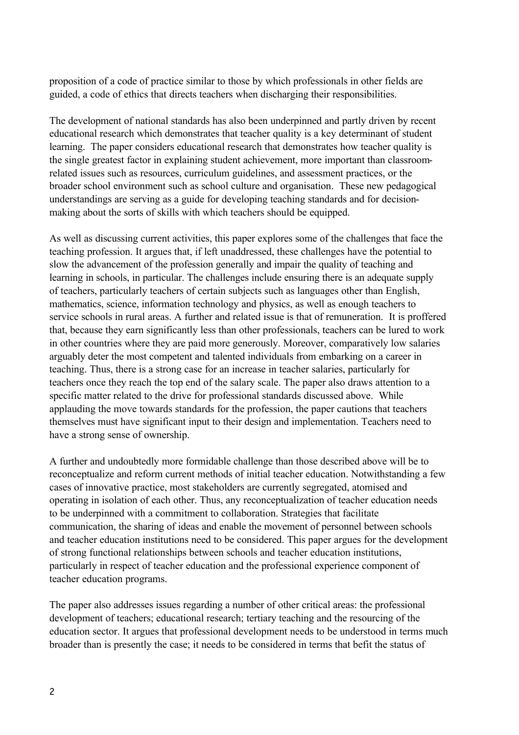proposition of a code of practice similar to those by which professionals in other fields are guided, a code of ethics that directs teachers when discharging their responsibilities.

The development of national standards has also been underpinned and partly driven by recent educational research which demonstrates that teacher quality is a key determinant of student learning. The paper considers educational research that demonstrates how teacher quality is the single greatest factor in explaining student achievement, more important than classroomrelated issues such as resources, curriculum guidelines, and assessment practices, or the broader school environment such as school culture and organisation. These new pedagogical understandings are serving as a guide for developing teaching standards and for decisionmaking about the sorts of skills with which teachers should be equipped.

As well as discussing current activities, this paper explores some of the challenges that face the teaching profession. It argues that, if left unaddressed, these challenges have the potential to slow the advancement of the profession generally and impair the quality of teaching and learning in schools, in particular. The challenges include ensuring there is an adequate supply of teachers, particularly teachers of certain subjects such as languages other than English, mathematics, science, information technology and physics, as well as enough teachers to service schools in rural areas. A further and related issue is that of remuneration. It is proffered that, because they earn significantly less than other professionals, teachers can be lured to work in other countries where they are paid more generously. Moreover, comparatively low salaries arguably deter the most competent and talented individuals from embarking on a career in teaching. Thus, there is a strong case for an increase in teacher salaries, particularly for teachers once they reach the top end of the salary scale. The paper also draws attention to a specific matter related to the drive for professional standards discussed above. While applauding the move towards standards for the profession, the paper cautions that teachers themselves must have significant input to their design and implementation. Teachers need to have a strong sense of ownership.

A further and undoubtedly more formidable challenge than those described above will be to reconceptualize and reform current methods of initial teacher education. Notwithstanding a few cases of innovative practice, most stakeholders are currently segregated, atomised and operating in isolation of each other. Thus, any reconceptualization of teacher education needs to be underpinned with a commitment to collaboration. Strategies that facilitate communication, the sharing of ideas and enable the movement of personnel between schools and teacher education institutions need to be considered. This paper argues for the development of strong functional relationships between schools and teacher education institutions, particularly in respect of teacher education and the professional experience component of teacher education programs.

The paper also addresses issues regarding a number of other critical areas: the professional development of teachers; educational research; tertiary teaching and the resourcing of the education sector. It argues that professional development needs to be understood in terms much broader than is presently the case; it needs to be considered in terms that befit the status of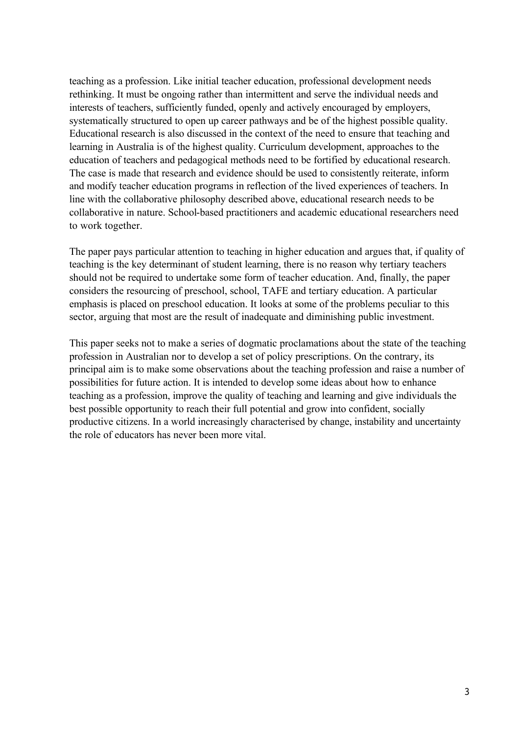teaching as a profession. Like initial teacher education, professional development needs rethinking. It must be ongoing rather than intermittent and serve the individual needs and interests of teachers, sufficiently funded, openly and actively encouraged by employers, systematically structured to open up career pathways and be of the highest possible quality. Educational research is also discussed in the context of the need to ensure that teaching and learning in Australia is of the highest quality. Curriculum development, approaches to the education of teachers and pedagogical methods need to be fortified by educational research. The case is made that research and evidence should be used to consistently reiterate, inform and modify teacher education programs in reflection of the lived experiences of teachers. In line with the collaborative philosophy described above, educational research needs to be collaborative in nature. School-based practitioners and academic educational researchers need to work together.

The paper pays particular attention to teaching in higher education and argues that, if quality of teaching is the key determinant of student learning, there is no reason why tertiary teachers should not be required to undertake some form of teacher education. And, finally, the paper considers the resourcing of preschool, school, TAFE and tertiary education. A particular emphasis is placed on preschool education. It looks at some of the problems peculiar to this sector, arguing that most are the result of inadequate and diminishing public investment.

This paper seeks not to make a series of dogmatic proclamations about the state of the teaching profession in Australian nor to develop a set of policy prescriptions. On the contrary, its principal aim is to make some observations about the teaching profession and raise a number of possibilities for future action. It is intended to develop some ideas about how to enhance teaching as a profession, improve the quality of teaching and learning and give individuals the best possible opportunity to reach their full potential and grow into confident, socially productive citizens. In a world increasingly characterised by change, instability and uncertainty the role of educators has never been more vital.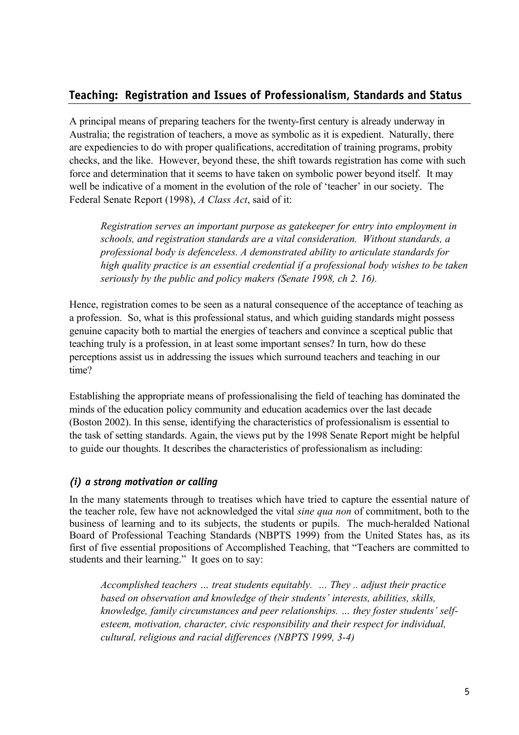## **Teaching: Registration and Issues of Professionalism, Standards and Status**

A principal means of preparing teachers for the twenty-first century is already underway in Australia; the registration of teachers, a move as symbolic as it is expedient. Naturally, there are expediencies to do with proper qualifications, accreditation of training programs, probity checks, and the like. However, beyond these, the shift towards registration has come with such force and determination that it seems to have taken on symbolic power beyond itself. It may well be indicative of a moment in the evolution of the role of 'teacher' in our society. The Federal Senate Report (1998), *A Class Act*, said of it:

*Registration serves an important purpose as gatekeeper for entry into employment in schools, and registration standards are a vital consideration. Without standards, a professional body is defenceless. A demonstrated ability to articulate standards for high quality practice is an essential credential if a professional body wishes to be taken seriously by the public and policy makers (Senate 1998, ch 2. 16).*

Hence, registration comes to be seen as a natural consequence of the acceptance of teaching as a profession. So, what is this professional status, and which guiding standards might possess genuine capacity both to martial the energies of teachers and convince a sceptical public that teaching truly is a profession, in at least some important senses? In turn, how do these perceptions assist us in addressing the issues which surround teachers and teaching in our time?

Establishing the appropriate means of professionalising the field of teaching has dominated the minds of the education policy community and education academics over the last decade (Boston 2002). In this sense, identifying the characteristics of professionalism is essential to the task of setting standards. Again, the views put by the 1998 Senate Report might be helpful to guide our thoughts. It describes the characteristics of professionalism as including:

#### *(i) a strong motivation or calling*

In the many statements through to treatises which have tried to capture the essential nature of the teacher role, few have not acknowledged the vital *sine qua non* of commitment, both to the business of learning and to its subjects, the students or pupils. The much-heralded National Board of Professional Teaching Standards (NBPTS 1999) from the United States has, as its first of five essential propositions of Accomplished Teaching, that "Teachers are committed to students and their learning." It goes on to say:

*Accomplished teachers … treat students equitably. … They .. adjust their practice based on observation and knowledge of their students' interests, abilities, skills, knowledge, family circumstances and peer relationships. … they foster students' selfesteem, motivation, character, civic responsibility and their respect for individual, cultural, religious and racial differences (NBPTS 1999, 3-4)*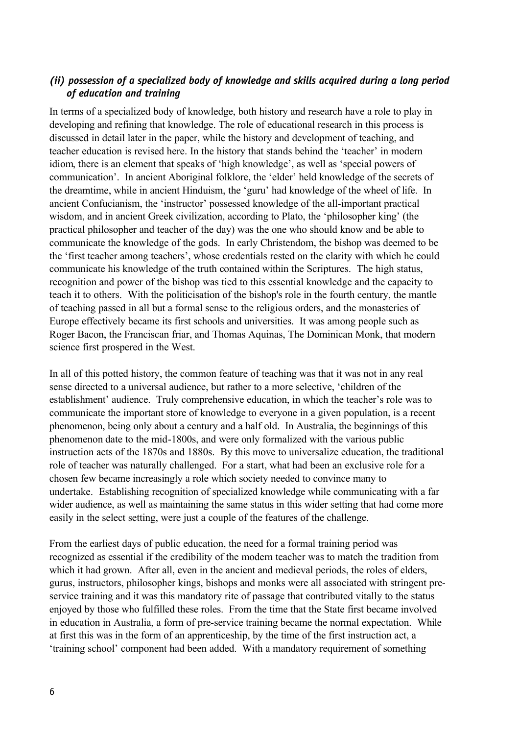#### *(ii) possession of a specialized body of knowledge and skills acquired during a long period of education and training*

In terms of a specialized body of knowledge, both history and research have a role to play in developing and refining that knowledge. The role of educational research in this process is discussed in detail later in the paper, while the history and development of teaching, and teacher education is revised here. In the history that stands behind the 'teacher' in modern idiom, there is an element that speaks of 'high knowledge', as well as 'special powers of communication'. In ancient Aboriginal folklore, the 'elder' held knowledge of the secrets of the dreamtime, while in ancient Hinduism, the 'guru' had knowledge of the wheel of life. In ancient Confucianism, the 'instructor' possessed knowledge of the all-important practical wisdom, and in ancient Greek civilization, according to Plato, the 'philosopher king' (the practical philosopher and teacher of the day) was the one who should know and be able to communicate the knowledge of the gods. In early Christendom, the bishop was deemed to be the 'first teacher among teachers', whose credentials rested on the clarity with which he could communicate his knowledge of the truth contained within the Scriptures. The high status, recognition and power of the bishop was tied to this essential knowledge and the capacity to teach it to others. With the politicisation of the bishop's role in the fourth century, the mantle of teaching passed in all but a formal sense to the religious orders, and the monasteries of Europe effectively became its first schools and universities. It was among people such as Roger Bacon, the Franciscan friar, and Thomas Aquinas, The Dominican Monk, that modern science first prospered in the West.

In all of this potted history, the common feature of teaching was that it was not in any real sense directed to a universal audience, but rather to a more selective, 'children of the establishment' audience. Truly comprehensive education, in which the teacher's role was to communicate the important store of knowledge to everyone in a given population, is a recent phenomenon, being only about a century and a half old. In Australia, the beginnings of this phenomenon date to the mid-1800s, and were only formalized with the various public instruction acts of the 1870s and 1880s. By this move to universalize education, the traditional role of teacher was naturally challenged. For a start, what had been an exclusive role for a chosen few became increasingly a role which society needed to convince many to undertake. Establishing recognition of specialized knowledge while communicating with a far wider audience, as well as maintaining the same status in this wider setting that had come more easily in the select setting, were just a couple of the features of the challenge.

From the earliest days of public education, the need for a formal training period was recognized as essential if the credibility of the modern teacher was to match the tradition from which it had grown. After all, even in the ancient and medieval periods, the roles of elders, gurus, instructors, philosopher kings, bishops and monks were all associated with stringent preservice training and it was this mandatory rite of passage that contributed vitally to the status enjoyed by those who fulfilled these roles. From the time that the State first became involved in education in Australia, a form of pre-service training became the normal expectation. While at first this was in the form of an apprenticeship, by the time of the first instruction act, a 'training school' component had been added. With a mandatory requirement of something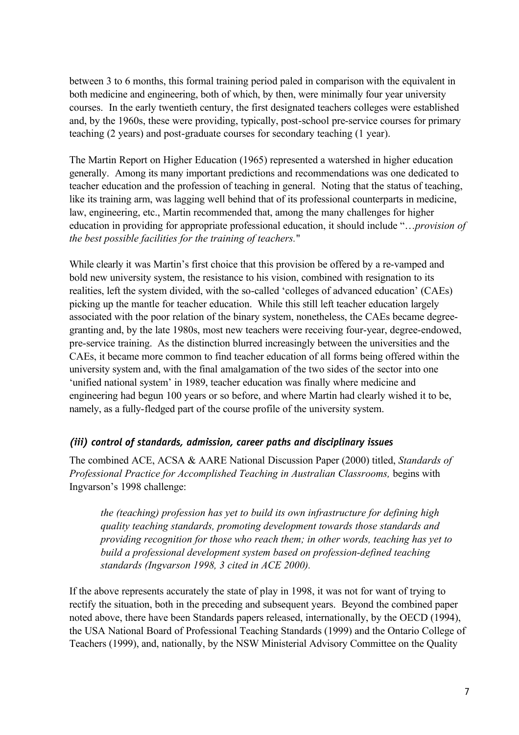between 3 to 6 months, this formal training period paled in comparison with the equivalent in both medicine and engineering, both of which, by then, were minimally four year university courses. In the early twentieth century, the first designated teachers colleges were established and, by the 1960s, these were providing, typically, post-school pre-service courses for primary teaching (2 years) and post-graduate courses for secondary teaching (1 year).

The Martin Report on Higher Education (1965) represented a watershed in higher education generally. Among its many important predictions and recommendations was one dedicated to teacher education and the profession of teaching in general. Noting that the status of teaching, like its training arm, was lagging well behind that of its professional counterparts in medicine, law, engineering, etc., Martin recommended that, among the many challenges for higher education in providing for appropriate professional education, it should include "…*provision of the best possible facilities for the training of teachers.*"

While clearly it was Martin's first choice that this provision be offered by a re-vamped and bold new university system, the resistance to his vision, combined with resignation to its realities, left the system divided, with the so-called 'colleges of advanced education' (CAEs) picking up the mantle for teacher education. While this still left teacher education largely associated with the poor relation of the binary system, nonetheless, the CAEs became degreegranting and, by the late 1980s, most new teachers were receiving four-year, degree-endowed, pre-service training. As the distinction blurred increasingly between the universities and the CAEs, it became more common to find teacher education of all forms being offered within the university system and, with the final amalgamation of the two sides of the sector into one 'unified national system' in 1989, teacher education was finally where medicine and engineering had begun 100 years or so before, and where Martin had clearly wished it to be, namely, as a fully-fledged part of the course profile of the university system.

#### *(iii) control of standards, admission, career paths and disciplinary issues*

The combined ACE, ACSA & AARE National Discussion Paper (2000) titled, *Standards of Professional Practice for Accomplished Teaching in Australian Classrooms,* begins with Ingvarson's 1998 challenge:

*the (teaching) profession has yet to build its own infrastructure for defining high quality teaching standards, promoting development towards those standards and providing recognition for those who reach them; in other words, teaching has yet to build a professional development system based on profession-defined teaching standards (Ingvarson 1998, 3 cited in ACE 2000).*

If the above represents accurately the state of play in 1998, it was not for want of trying to rectify the situation, both in the preceding and subsequent years. Beyond the combined paper noted above, there have been Standards papers released, internationally, by the OECD (1994), the USA National Board of Professional Teaching Standards (1999) and the Ontario College of Teachers (1999), and, nationally, by the NSW Ministerial Advisory Committee on the Quality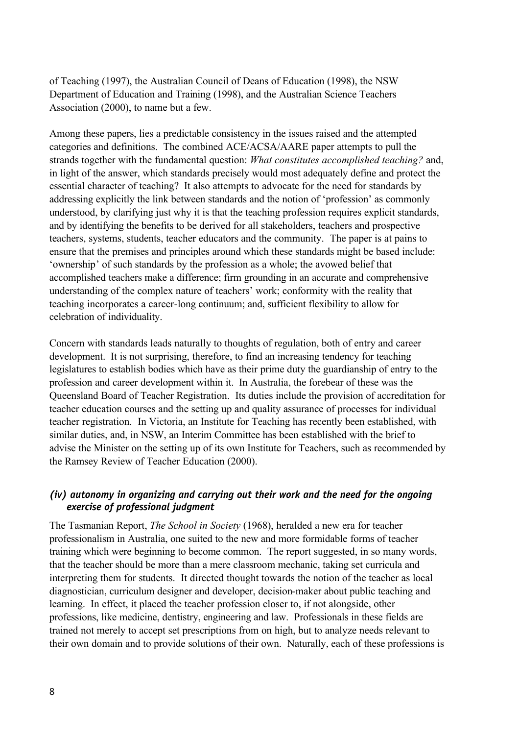of Teaching (1997), the Australian Council of Deans of Education (1998), the NSW Department of Education and Training (1998), and the Australian Science Teachers Association (2000), to name but a few.

Among these papers, lies a predictable consistency in the issues raised and the attempted categories and definitions. The combined ACE/ACSA/AARE paper attempts to pull the strands together with the fundamental question: *What constitutes accomplished teaching?* and, in light of the answer, which standards precisely would most adequately define and protect the essential character of teaching? It also attempts to advocate for the need for standards by addressing explicitly the link between standards and the notion of 'profession' as commonly understood, by clarifying just why it is that the teaching profession requires explicit standards, and by identifying the benefits to be derived for all stakeholders, teachers and prospective teachers, systems, students, teacher educators and the community. The paper is at pains to ensure that the premises and principles around which these standards might be based include: 'ownership' of such standards by the profession as a whole; the avowed belief that accomplished teachers make a difference; firm grounding in an accurate and comprehensive understanding of the complex nature of teachers' work; conformity with the reality that teaching incorporates a career-long continuum; and, sufficient flexibility to allow for celebration of individuality.

Concern with standards leads naturally to thoughts of regulation, both of entry and career development. It is not surprising, therefore, to find an increasing tendency for teaching legislatures to establish bodies which have as their prime duty the guardianship of entry to the profession and career development within it. In Australia, the forebear of these was the Queensland Board of Teacher Registration. Its duties include the provision of accreditation for teacher education courses and the setting up and quality assurance of processes for individual teacher registration. In Victoria, an Institute for Teaching has recently been established, with similar duties, and, in NSW, an Interim Committee has been established with the brief to advise the Minister on the setting up of its own Institute for Teachers, such as recommended by the Ramsey Review of Teacher Education (2000).

#### *(iv) autonomy in organizing and carrying out their work and the need for the ongoing exercise of professional judgment*

The Tasmanian Report, *The School in Society* (1968), heralded a new era for teacher professionalism in Australia, one suited to the new and more formidable forms of teacher training which were beginning to become common. The report suggested, in so many words, that the teacher should be more than a mere classroom mechanic, taking set curricula and interpreting them for students. It directed thought towards the notion of the teacher as local diagnostician, curriculum designer and developer, decision-maker about public teaching and learning. In effect, it placed the teacher profession closer to, if not alongside, other professions, like medicine, dentistry, engineering and law. Professionals in these fields are trained not merely to accept set prescriptions from on high, but to analyze needs relevant to their own domain and to provide solutions of their own. Naturally, each of these professions is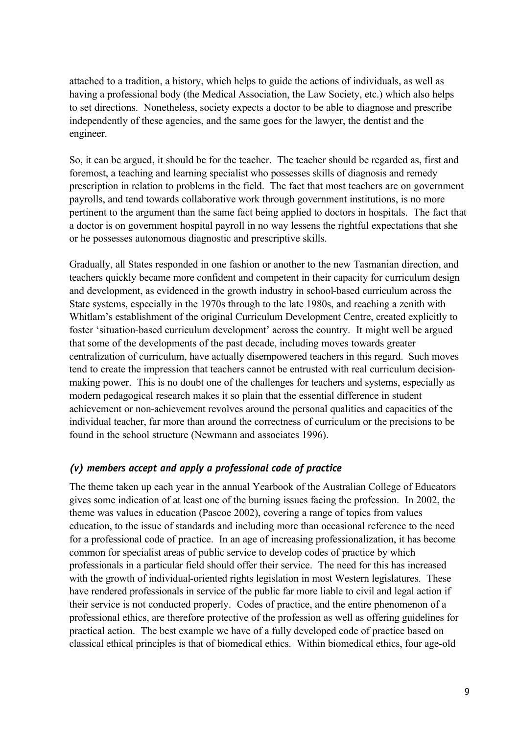attached to a tradition, a history, which helps to guide the actions of individuals, as well as having a professional body (the Medical Association, the Law Society, etc.) which also helps to set directions. Nonetheless, society expects a doctor to be able to diagnose and prescribe independently of these agencies, and the same goes for the lawyer, the dentist and the engineer.

So, it can be argued, it should be for the teacher. The teacher should be regarded as, first and foremost, a teaching and learning specialist who possesses skills of diagnosis and remedy prescription in relation to problems in the field. The fact that most teachers are on government payrolls, and tend towards collaborative work through government institutions, is no more pertinent to the argument than the same fact being applied to doctors in hospitals. The fact that a doctor is on government hospital payroll in no way lessens the rightful expectations that she or he possesses autonomous diagnostic and prescriptive skills.

Gradually, all States responded in one fashion or another to the new Tasmanian direction, and teachers quickly became more confident and competent in their capacity for curriculum design and development, as evidenced in the growth industry in school-based curriculum across the State systems, especially in the 1970s through to the late 1980s, and reaching a zenith with Whitlam's establishment of the original Curriculum Development Centre, created explicitly to foster 'situation-based curriculum development' across the country. It might well be argued that some of the developments of the past decade, including moves towards greater centralization of curriculum, have actually disempowered teachers in this regard. Such moves tend to create the impression that teachers cannot be entrusted with real curriculum decisionmaking power. This is no doubt one of the challenges for teachers and systems, especially as modern pedagogical research makes it so plain that the essential difference in student achievement or non-achievement revolves around the personal qualities and capacities of the individual teacher, far more than around the correctness of curriculum or the precisions to be found in the school structure (Newmann and associates 1996).

#### *(v) members accept and apply a professional code of practice*

The theme taken up each year in the annual Yearbook of the Australian College of Educators gives some indication of at least one of the burning issues facing the profession. In 2002, the theme was values in education (Pascoe 2002), covering a range of topics from values education, to the issue of standards and including more than occasional reference to the need for a professional code of practice. In an age of increasing professionalization, it has become common for specialist areas of public service to develop codes of practice by which professionals in a particular field should offer their service. The need for this has increased with the growth of individual-oriented rights legislation in most Western legislatures. These have rendered professionals in service of the public far more liable to civil and legal action if their service is not conducted properly. Codes of practice, and the entire phenomenon of a professional ethics, are therefore protective of the profession as well as offering guidelines for practical action. The best example we have of a fully developed code of practice based on classical ethical principles is that of biomedical ethics. Within biomedical ethics, four age-old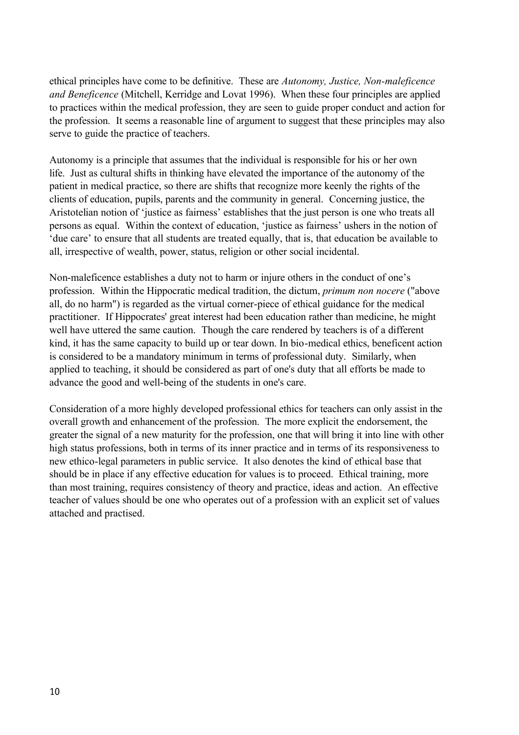ethical principles have come to be definitive. These are *Autonomy, Justice, Non-maleficence and Beneficence* (Mitchell, Kerridge and Lovat 1996). When these four principles are applied to practices within the medical profession, they are seen to guide proper conduct and action for the profession. It seems a reasonable line of argument to suggest that these principles may also serve to guide the practice of teachers.

Autonomy is a principle that assumes that the individual is responsible for his or her own life. Just as cultural shifts in thinking have elevated the importance of the autonomy of the patient in medical practice, so there are shifts that recognize more keenly the rights of the clients of education, pupils, parents and the community in general. Concerning justice, the Aristotelian notion of 'justice as fairness' establishes that the just person is one who treats all persons as equal. Within the context of education, 'justice as fairness' ushers in the notion of 'due care' to ensure that all students are treated equally, that is, that education be available to all, irrespective of wealth, power, status, religion or other social incidental.

Non-maleficence establishes a duty not to harm or injure others in the conduct of one's profession. Within the Hippocratic medical tradition, the dictum, *primum non nocere* ("above all, do no harm") is regarded as the virtual corner-piece of ethical guidance for the medical practitioner. If Hippocrates' great interest had been education rather than medicine, he might well have uttered the same caution. Though the care rendered by teachers is of a different kind, it has the same capacity to build up or tear down. In bio-medical ethics, beneficent action is considered to be a mandatory minimum in terms of professional duty. Similarly, when applied to teaching, it should be considered as part of one's duty that all efforts be made to advance the good and well-being of the students in one's care.

Consideration of a more highly developed professional ethics for teachers can only assist in the overall growth and enhancement of the profession. The more explicit the endorsement, the greater the signal of a new maturity for the profession, one that will bring it into line with other high status professions, both in terms of its inner practice and in terms of its responsiveness to new ethico-legal parameters in public service. It also denotes the kind of ethical base that should be in place if any effective education for values is to proceed. Ethical training, more than most training, requires consistency of theory and practice, ideas and action. An effective teacher of values should be one who operates out of a profession with an explicit set of values attached and practised.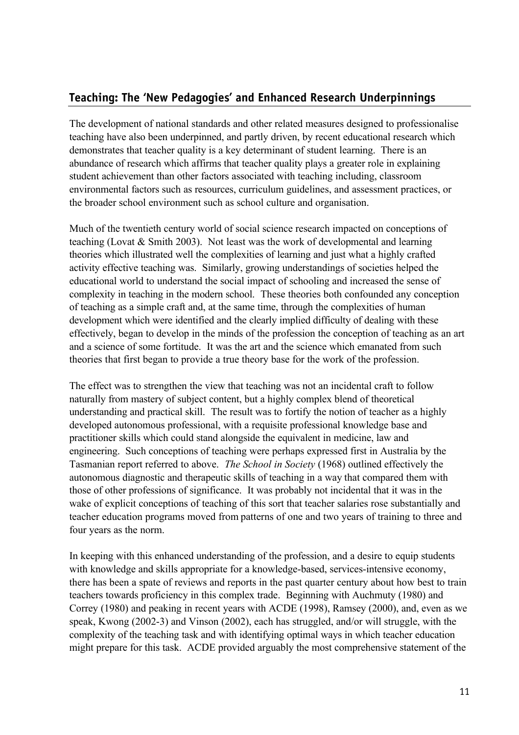## **Teaching: The 'New Pedagogies' and Enhanced Research Underpinnings**

The development of national standards and other related measures designed to professionalise teaching have also been underpinned, and partly driven, by recent educational research which demonstrates that teacher quality is a key determinant of student learning. There is an abundance of research which affirms that teacher quality plays a greater role in explaining student achievement than other factors associated with teaching including, classroom environmental factors such as resources, curriculum guidelines, and assessment practices, or the broader school environment such as school culture and organisation.

Much of the twentieth century world of social science research impacted on conceptions of teaching (Lovat & Smith 2003). Not least was the work of developmental and learning theories which illustrated well the complexities of learning and just what a highly crafted activity effective teaching was. Similarly, growing understandings of societies helped the educational world to understand the social impact of schooling and increased the sense of complexity in teaching in the modern school. These theories both confounded any conception of teaching as a simple craft and, at the same time, through the complexities of human development which were identified and the clearly implied difficulty of dealing with these effectively, began to develop in the minds of the profession the conception of teaching as an art and a science of some fortitude. It was the art and the science which emanated from such theories that first began to provide a true theory base for the work of the profession.

The effect was to strengthen the view that teaching was not an incidental craft to follow naturally from mastery of subject content, but a highly complex blend of theoretical understanding and practical skill. The result was to fortify the notion of teacher as a highly developed autonomous professional, with a requisite professional knowledge base and practitioner skills which could stand alongside the equivalent in medicine, law and engineering. Such conceptions of teaching were perhaps expressed first in Australia by the Tasmanian report referred to above. *The School in Society* (1968) outlined effectively the autonomous diagnostic and therapeutic skills of teaching in a way that compared them with those of other professions of significance. It was probably not incidental that it was in the wake of explicit conceptions of teaching of this sort that teacher salaries rose substantially and teacher education programs moved from patterns of one and two years of training to three and four years as the norm.

In keeping with this enhanced understanding of the profession, and a desire to equip students with knowledge and skills appropriate for a knowledge-based, services-intensive economy, there has been a spate of reviews and reports in the past quarter century about how best to train teachers towards proficiency in this complex trade. Beginning with Auchmuty (1980) and Correy (1980) and peaking in recent years with ACDE (1998), Ramsey (2000), and, even as we speak, Kwong (2002-3) and Vinson (2002), each has struggled, and/or will struggle, with the complexity of the teaching task and with identifying optimal ways in which teacher education might prepare for this task. ACDE provided arguably the most comprehensive statement of the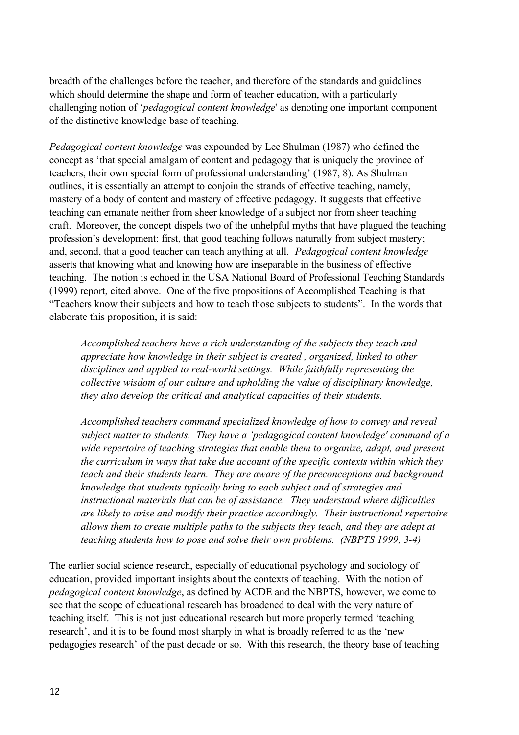breadth of the challenges before the teacher, and therefore of the standards and guidelines which should determine the shape and form of teacher education, with a particularly challenging notion of '*pedagogical content knowledge*' as denoting one important component of the distinctive knowledge base of teaching.

*Pedagogical content knowledge* was expounded by Lee Shulman (1987) who defined the concept as 'that special amalgam of content and pedagogy that is uniquely the province of teachers, their own special form of professional understanding' (1987, 8). As Shulman outlines, it is essentially an attempt to conjoin the strands of effective teaching, namely, mastery of a body of content and mastery of effective pedagogy. It suggests that effective teaching can emanate neither from sheer knowledge of a subject nor from sheer teaching craft. Moreover, the concept dispels two of the unhelpful myths that have plagued the teaching profession's development: first, that good teaching follows naturally from subject mastery; and, second, that a good teacher can teach anything at all. *Pedagogical content knowledge* asserts that knowing what and knowing how are inseparable in the business of effective teaching. The notion is echoed in the USA National Board of Professional Teaching Standards (1999) report, cited above. One of the five propositions of Accomplished Teaching is that "Teachers know their subjects and how to teach those subjects to students". In the words that elaborate this proposition, it is said:

*Accomplished teachers have a rich understanding of the subjects they teach and appreciate how knowledge in their subject is created , organized, linked to other disciplines and applied to real-world settings. While faithfully representing the collective wisdom of our culture and upholding the value of disciplinary knowledge, they also develop the critical and analytical capacities of their students.*

*Accomplished teachers command specialized knowledge of how to convey and reveal subject matter to students. They have a 'pedagogical content knowledge' command of a wide repertoire of teaching strategies that enable them to organize, adapt, and present the curriculum in ways that take due account of the specific contexts within which they teach and their students learn. They are aware of the preconceptions and background knowledge that students typically bring to each subject and of strategies and instructional materials that can be of assistance. They understand where difficulties are likely to arise and modify their practice accordingly. Their instructional repertoire allows them to create multiple paths to the subjects they teach, and they are adept at teaching students how to pose and solve their own problems. (NBPTS 1999, 3-4)*

The earlier social science research, especially of educational psychology and sociology of education, provided important insights about the contexts of teaching. With the notion of *pedagogical content knowledge*, as defined by ACDE and the NBPTS, however, we come to see that the scope of educational research has broadened to deal with the very nature of teaching itself. This is not just educational research but more properly termed 'teaching research', and it is to be found most sharply in what is broadly referred to as the 'new pedagogies research' of the past decade or so. With this research, the theory base of teaching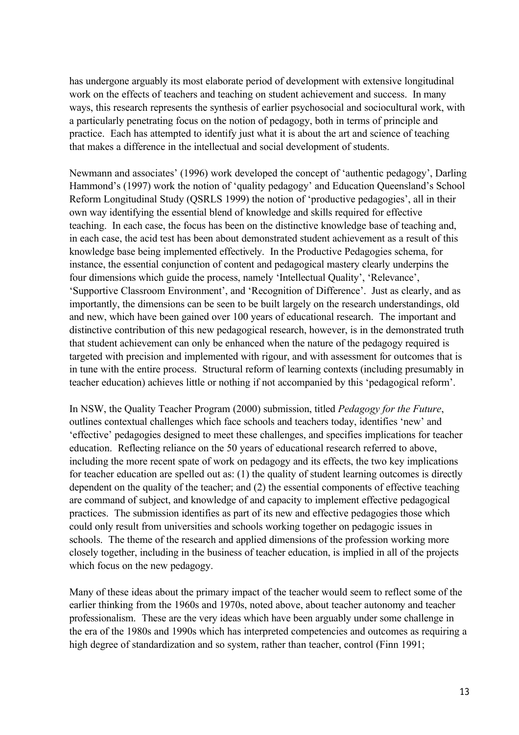has undergone arguably its most elaborate period of development with extensive longitudinal work on the effects of teachers and teaching on student achievement and success. In many ways, this research represents the synthesis of earlier psychosocial and sociocultural work, with a particularly penetrating focus on the notion of pedagogy, both in terms of principle and practice. Each has attempted to identify just what it is about the art and science of teaching that makes a difference in the intellectual and social development of students.

Newmann and associates' (1996) work developed the concept of 'authentic pedagogy', Darling Hammond's (1997) work the notion of 'quality pedagogy' and Education Queensland's School Reform Longitudinal Study (QSRLS 1999) the notion of 'productive pedagogies', all in their own way identifying the essential blend of knowledge and skills required for effective teaching. In each case, the focus has been on the distinctive knowledge base of teaching and, in each case, the acid test has been about demonstrated student achievement as a result of this knowledge base being implemented effectively. In the Productive Pedagogies schema, for instance, the essential conjunction of content and pedagogical mastery clearly underpins the four dimensions which guide the process, namely 'Intellectual Quality', 'Relevance', 'Supportive Classroom Environment', and 'Recognition of Difference'. Just as clearly, and as importantly, the dimensions can be seen to be built largely on the research understandings, old and new, which have been gained over 100 years of educational research. The important and distinctive contribution of this new pedagogical research, however, is in the demonstrated truth that student achievement can only be enhanced when the nature of the pedagogy required is targeted with precision and implemented with rigour, and with assessment for outcomes that is in tune with the entire process. Structural reform of learning contexts (including presumably in teacher education) achieves little or nothing if not accompanied by this 'pedagogical reform'.

In NSW, the Quality Teacher Program (2000) submission, titled *Pedagogy for the Future*, outlines contextual challenges which face schools and teachers today, identifies 'new' and 'effective' pedagogies designed to meet these challenges, and specifies implications for teacher education. Reflecting reliance on the 50 years of educational research referred to above, including the more recent spate of work on pedagogy and its effects, the two key implications for teacher education are spelled out as: (1) the quality of student learning outcomes is directly dependent on the quality of the teacher; and (2) the essential components of effective teaching are command of subject, and knowledge of and capacity to implement effective pedagogical practices. The submission identifies as part of its new and effective pedagogies those which could only result from universities and schools working together on pedagogic issues in schools. The theme of the research and applied dimensions of the profession working more closely together, including in the business of teacher education, is implied in all of the projects which focus on the new pedagogy.

Many of these ideas about the primary impact of the teacher would seem to reflect some of the earlier thinking from the 1960s and 1970s, noted above, about teacher autonomy and teacher professionalism. These are the very ideas which have been arguably under some challenge in the era of the 1980s and 1990s which has interpreted competencies and outcomes as requiring a high degree of standardization and so system, rather than teacher, control (Finn 1991;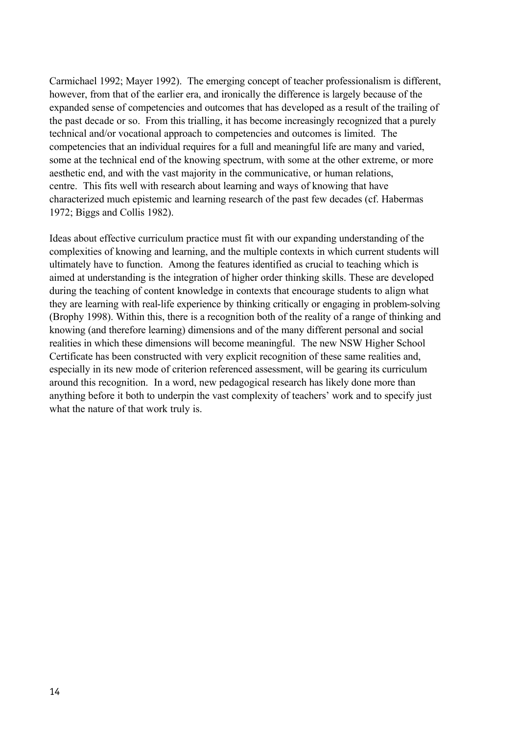Carmichael 1992; Mayer 1992). The emerging concept of teacher professionalism is different, however, from that of the earlier era, and ironically the difference is largely because of the expanded sense of competencies and outcomes that has developed as a result of the trailing of the past decade or so. From this trialling, it has become increasingly recognized that a purely technical and/or vocational approach to competencies and outcomes is limited. The competencies that an individual requires for a full and meaningful life are many and varied, some at the technical end of the knowing spectrum, with some at the other extreme, or more aesthetic end, and with the vast majority in the communicative, or human relations, centre. This fits well with research about learning and ways of knowing that have characterized much epistemic and learning research of the past few decades (cf. Habermas 1972; Biggs and Collis 1982).

Ideas about effective curriculum practice must fit with our expanding understanding of the complexities of knowing and learning, and the multiple contexts in which current students will ultimately have to function. Among the features identified as crucial to teaching which is aimed at understanding is the integration of higher order thinking skills. These are developed during the teaching of content knowledge in contexts that encourage students to align what they are learning with real-life experience by thinking critically or engaging in problem-solving (Brophy 1998). Within this, there is a recognition both of the reality of a range of thinking and knowing (and therefore learning) dimensions and of the many different personal and social realities in which these dimensions will become meaningful. The new NSW Higher School Certificate has been constructed with very explicit recognition of these same realities and, especially in its new mode of criterion referenced assessment, will be gearing its curriculum around this recognition. In a word, new pedagogical research has likely done more than anything before it both to underpin the vast complexity of teachers' work and to specify just what the nature of that work truly is.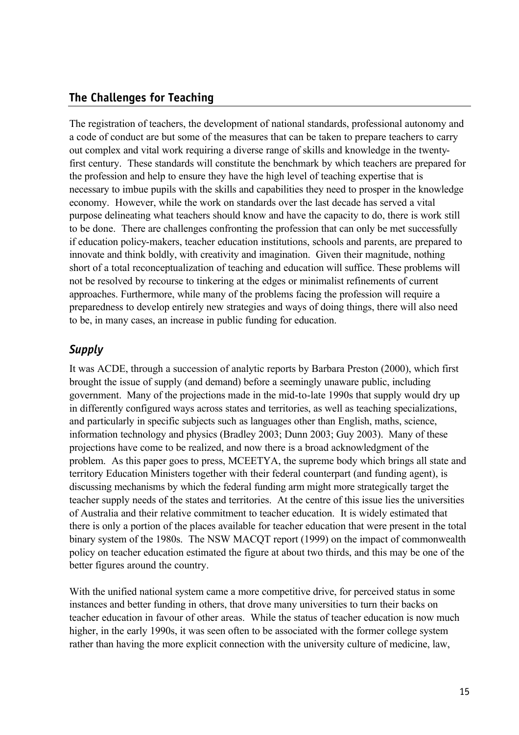#### **The Challenges for Teaching**

The registration of teachers, the development of national standards, professional autonomy and a code of conduct are but some of the measures that can be taken to prepare teachers to carry out complex and vital work requiring a diverse range of skills and knowledge in the twentyfirst century. These standards will constitute the benchmark by which teachers are prepared for the profession and help to ensure they have the high level of teaching expertise that is necessary to imbue pupils with the skills and capabilities they need to prosper in the knowledge economy. However, while the work on standards over the last decade has served a vital purpose delineating what teachers should know and have the capacity to do, there is work still to be done. There are challenges confronting the profession that can only be met successfully if education policy-makers, teacher education institutions, schools and parents, are prepared to innovate and think boldly, with creativity and imagination. Given their magnitude, nothing short of a total reconceptualization of teaching and education will suffice. These problems will not be resolved by recourse to tinkering at the edges or minimalist refinements of current approaches. Furthermore, while many of the problems facing the profession will require a preparedness to develop entirely new strategies and ways of doing things, there will also need to be, in many cases, an increase in public funding for education.

#### *Supply*

It was ACDE, through a succession of analytic reports by Barbara Preston (2000), which first brought the issue of supply (and demand) before a seemingly unaware public, including government. Many of the projections made in the mid-to-late 1990s that supply would dry up in differently configured ways across states and territories, as well as teaching specializations, and particularly in specific subjects such as languages other than English, maths, science, information technology and physics (Bradley 2003; Dunn 2003; Guy 2003). Many of these projections have come to be realized, and now there is a broad acknowledgment of the problem. As this paper goes to press, MCEETYA, the supreme body which brings all state and territory Education Ministers together with their federal counterpart (and funding agent), is discussing mechanisms by which the federal funding arm might more strategically target the teacher supply needs of the states and territories. At the centre of this issue lies the universities of Australia and their relative commitment to teacher education. It is widely estimated that there is only a portion of the places available for teacher education that were present in the total binary system of the 1980s. The NSW MACQT report (1999) on the impact of commonwealth policy on teacher education estimated the figure at about two thirds, and this may be one of the better figures around the country.

With the unified national system came a more competitive drive, for perceived status in some instances and better funding in others, that drove many universities to turn their backs on teacher education in favour of other areas. While the status of teacher education is now much higher, in the early 1990s, it was seen often to be associated with the former college system rather than having the more explicit connection with the university culture of medicine, law,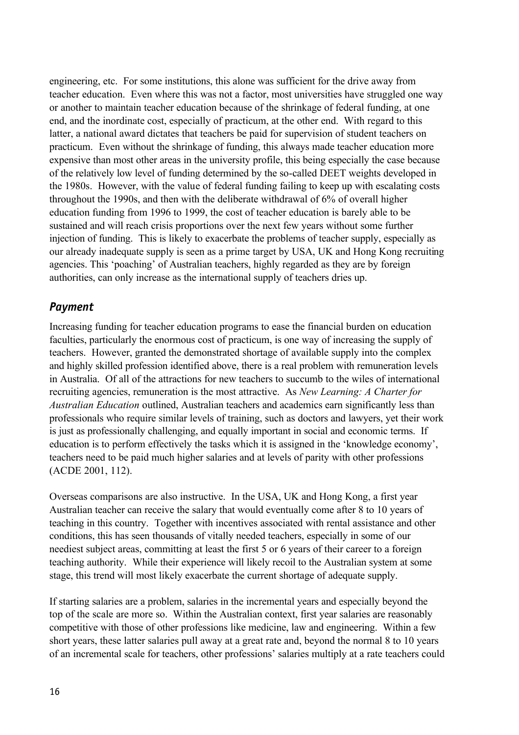engineering, etc. For some institutions, this alone was sufficient for the drive away from teacher education. Even where this was not a factor, most universities have struggled one way or another to maintain teacher education because of the shrinkage of federal funding, at one end, and the inordinate cost, especially of practicum, at the other end. With regard to this latter, a national award dictates that teachers be paid for supervision of student teachers on practicum. Even without the shrinkage of funding, this always made teacher education more expensive than most other areas in the university profile, this being especially the case because of the relatively low level of funding determined by the so-called DEET weights developed in the 1980s. However, with the value of federal funding failing to keep up with escalating costs throughout the 1990s, and then with the deliberate withdrawal of 6% of overall higher education funding from 1996 to 1999, the cost of teacher education is barely able to be sustained and will reach crisis proportions over the next few years without some further injection of funding. This is likely to exacerbate the problems of teacher supply, especially as our already inadequate supply is seen as a prime target by USA, UK and Hong Kong recruiting agencies. This 'poaching' of Australian teachers, highly regarded as they are by foreign authorities, can only increase as the international supply of teachers dries up.

#### *Payment*

Increasing funding for teacher education programs to ease the financial burden on education faculties, particularly the enormous cost of practicum, is one way of increasing the supply of teachers. However, granted the demonstrated shortage of available supply into the complex and highly skilled profession identified above, there is a real problem with remuneration levels in Australia. Of all of the attractions for new teachers to succumb to the wiles of international recruiting agencies, remuneration is the most attractive. As *New Learning: A Charter for Australian Education* outlined, Australian teachers and academics earn significantly less than professionals who require similar levels of training, such as doctors and lawyers, yet their work is just as professionally challenging, and equally important in social and economic terms. If education is to perform effectively the tasks which it is assigned in the 'knowledge economy', teachers need to be paid much higher salaries and at levels of parity with other professions (ACDE 2001, 112).

Overseas comparisons are also instructive. In the USA, UK and Hong Kong, a first year Australian teacher can receive the salary that would eventually come after 8 to 10 years of teaching in this country. Together with incentives associated with rental assistance and other conditions, this has seen thousands of vitally needed teachers, especially in some of our neediest subject areas, committing at least the first 5 or 6 years of their career to a foreign teaching authority. While their experience will likely recoil to the Australian system at some stage, this trend will most likely exacerbate the current shortage of adequate supply.

If starting salaries are a problem, salaries in the incremental years and especially beyond the top of the scale are more so. Within the Australian context, first year salaries are reasonably competitive with those of other professions like medicine, law and engineering. Within a few short years, these latter salaries pull away at a great rate and, beyond the normal 8 to 10 years of an incremental scale for teachers, other professions' salaries multiply at a rate teachers could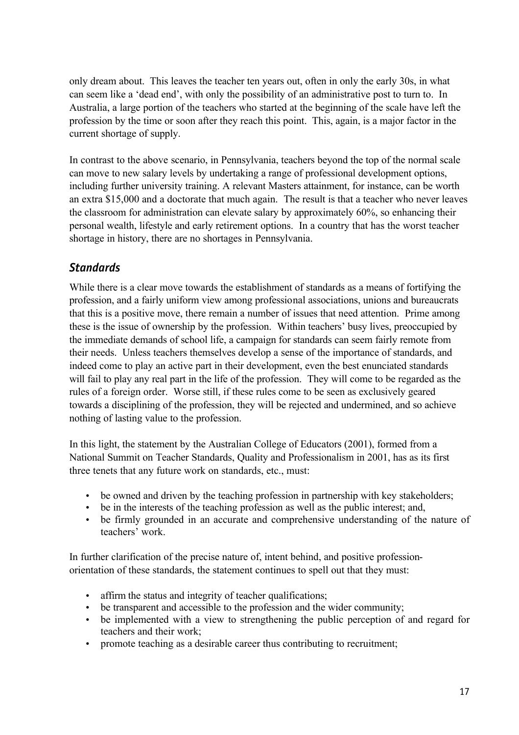only dream about. This leaves the teacher ten years out, often in only the early 30s, in what can seem like a 'dead end', with only the possibility of an administrative post to turn to. In Australia, a large portion of the teachers who started at the beginning of the scale have left the profession by the time or soon after they reach this point. This, again, is a major factor in the current shortage of supply.

In contrast to the above scenario, in Pennsylvania, teachers beyond the top of the normal scale can move to new salary levels by undertaking a range of professional development options, including further university training. A relevant Masters attainment, for instance, can be worth an extra \$15,000 and a doctorate that much again. The result is that a teacher who never leaves the classroom for administration can elevate salary by approximately 60%, so enhancing their personal wealth, lifestyle and early retirement options. In a country that has the worst teacher shortage in history, there are no shortages in Pennsylvania.

#### *Standards*

While there is a clear move towards the establishment of standards as a means of fortifying the profession, and a fairly uniform view among professional associations, unions and bureaucrats that this is a positive move, there remain a number of issues that need attention. Prime among these is the issue of ownership by the profession. Within teachers' busy lives, preoccupied by the immediate demands of school life, a campaign for standards can seem fairly remote from their needs. Unless teachers themselves develop a sense of the importance of standards, and indeed come to play an active part in their development, even the best enunciated standards will fail to play any real part in the life of the profession. They will come to be regarded as the rules of a foreign order. Worse still, if these rules come to be seen as exclusively geared towards a disciplining of the profession, they will be rejected and undermined, and so achieve nothing of lasting value to the profession.

In this light, the statement by the Australian College of Educators (2001), formed from a National Summit on Teacher Standards, Quality and Professionalism in 2001, has as its first three tenets that any future work on standards, etc., must:

- be owned and driven by the teaching profession in partnership with key stakeholders;
- be in the interests of the teaching profession as well as the public interest; and,
- be firmly grounded in an accurate and comprehensive understanding of the nature of teachers' work.

In further clarification of the precise nature of, intent behind, and positive professionorientation of these standards, the statement continues to spell out that they must:

- affirm the status and integrity of teacher qualifications;
- be transparent and accessible to the profession and the wider community;
- be implemented with a view to strengthening the public perception of and regard for teachers and their work;
- promote teaching as a desirable career thus contributing to recruitment;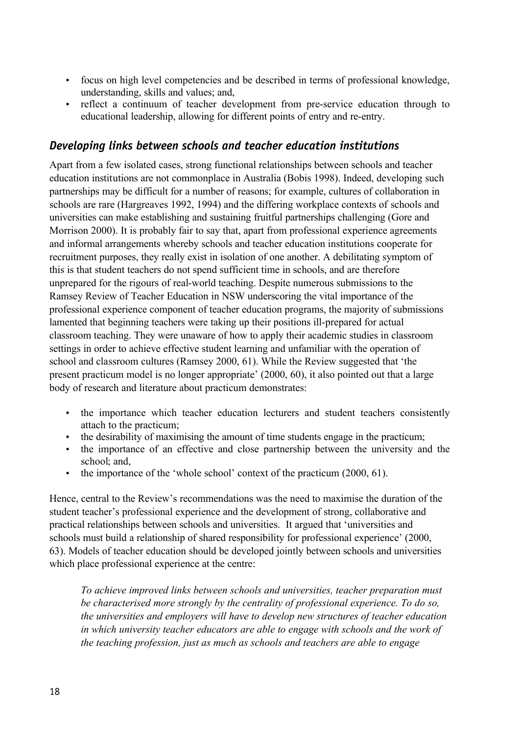- focus on high level competencies and be described in terms of professional knowledge, understanding, skills and values; and,
- reflect a continuum of teacher development from pre-service education through to educational leadership, allowing for different points of entry and re-entry.

#### *Developing links between schools and teacher education institutions*

Apart from a few isolated cases, strong functional relationships between schools and teacher education institutions are not commonplace in Australia (Bobis 1998). Indeed, developing such partnerships may be difficult for a number of reasons; for example, cultures of collaboration in schools are rare (Hargreaves 1992, 1994) and the differing workplace contexts of schools and universities can make establishing and sustaining fruitful partnerships challenging (Gore and Morrison 2000). It is probably fair to say that, apart from professional experience agreements and informal arrangements whereby schools and teacher education institutions cooperate for recruitment purposes, they really exist in isolation of one another. A debilitating symptom of this is that student teachers do not spend sufficient time in schools, and are therefore unprepared for the rigours of real-world teaching. Despite numerous submissions to the Ramsey Review of Teacher Education in NSW underscoring the vital importance of the professional experience component of teacher education programs, the majority of submissions lamented that beginning teachers were taking up their positions ill-prepared for actual classroom teaching. They were unaware of how to apply their academic studies in classroom settings in order to achieve effective student learning and unfamiliar with the operation of school and classroom cultures (Ramsey 2000, 61). While the Review suggested that 'the present practicum model is no longer appropriate' (2000, 60), it also pointed out that a large body of research and literature about practicum demonstrates:

- the importance which teacher education lecturers and student teachers consistently attach to the practicum;
- the desirability of maximising the amount of time students engage in the practicum;
- the importance of an effective and close partnership between the university and the school; and,
- the importance of the 'whole school' context of the practicum (2000, 61).

Hence, central to the Review's recommendations was the need to maximise the duration of the student teacher's professional experience and the development of strong, collaborative and practical relationships between schools and universities. It argued that 'universities and schools must build a relationship of shared responsibility for professional experience' (2000, 63). Models of teacher education should be developed jointly between schools and universities which place professional experience at the centre:

*To achieve improved links between schools and universities, teacher preparation must be characterised more strongly by the centrality of professional experience. To do so, the universities and employers will have to develop new structures of teacher education in which university teacher educators are able to engage with schools and the work of the teaching profession, just as much as schools and teachers are able to engage*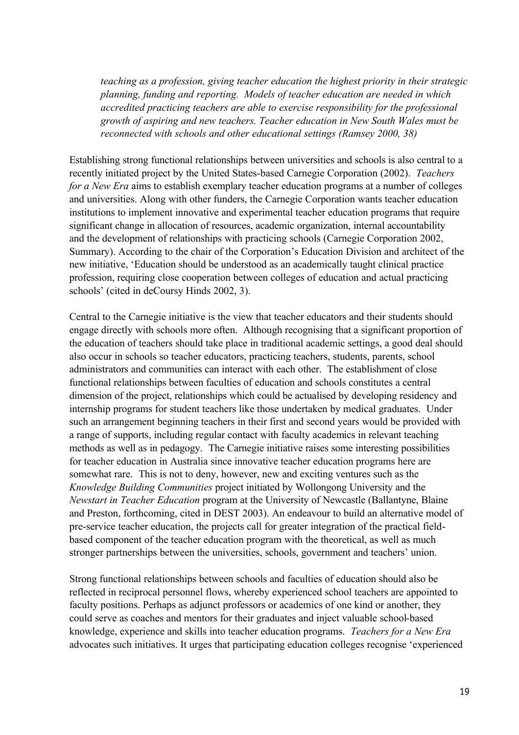*teaching as a profession, giving teacher education the highest priority in their strategic planning, funding and reporting. Models of teacher education are needed in which accredited practicing teachers are able to exercise responsibility for the professional growth of aspiring and new teachers. Teacher education in New South Wales must be reconnected with schools and other educational settings (Ramsey 2000, 38)*

Establishing strong functional relationships between universities and schools is also central to a recently initiated project by the United States-based Carnegie Corporation (2002). *Teachers for a New Era* aims to establish exemplary teacher education programs at a number of colleges and universities. Along with other funders, the Carnegie Corporation wants teacher education institutions to implement innovative and experimental teacher education programs that require significant change in allocation of resources, academic organization, internal accountability and the development of relationships with practicing schools (Carnegie Corporation 2002, Summary). According to the chair of the Corporation's Education Division and architect of the new initiative, 'Education should be understood as an academically taught clinical practice profession, requiring close cooperation between colleges of education and actual practicing schools' (cited in deCoursy Hinds 2002, 3).

Central to the Carnegie initiative is the view that teacher educators and their students should engage directly with schools more often. Although recognising that a significant proportion of the education of teachers should take place in traditional academic settings, a good deal should also occur in schools so teacher educators, practicing teachers, students, parents, school administrators and communities can interact with each other. The establishment of close functional relationships between faculties of education and schools constitutes a central dimension of the project, relationships which could be actualised by developing residency and internship programs for student teachers like those undertaken by medical graduates. Under such an arrangement beginning teachers in their first and second years would be provided with a range of supports, including regular contact with faculty academics in relevant teaching methods as well as in pedagogy. The Carnegie initiative raises some interesting possibilities for teacher education in Australia since innovative teacher education programs here are somewhat rare. This is not to deny, however, new and exciting ventures such as the *Knowledge Building Communities* project initiated by Wollongong University and the *Newstart in Teacher Education* program at the University of Newcastle (Ballantyne, Blaine and Preston, forthcoming, cited in DEST 2003). An endeavour to build an alternative model of pre-service teacher education, the projects call for greater integration of the practical fieldbased component of the teacher education program with the theoretical, as well as much stronger partnerships between the universities, schools, government and teachers' union.

Strong functional relationships between schools and faculties of education should also be reflected in reciprocal personnel flows, whereby experienced school teachers are appointed to faculty positions. Perhaps as adjunct professors or academics of one kind or another, they could serve as coaches and mentors for their graduates and inject valuable school-based knowledge, experience and skills into teacher education programs. *Teachers for a New Era* advocates such initiatives. It urges that participating education colleges recognise 'experienced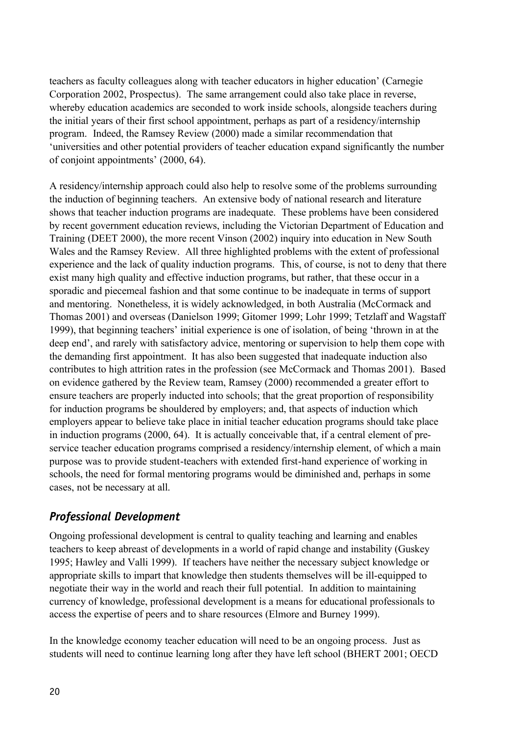teachers as faculty colleagues along with teacher educators in higher education' (Carnegie Corporation 2002, Prospectus). The same arrangement could also take place in reverse, whereby education academics are seconded to work inside schools, alongside teachers during the initial years of their first school appointment, perhaps as part of a residency/internship program. Indeed, the Ramsey Review (2000) made a similar recommendation that 'universities and other potential providers of teacher education expand significantly the number of conjoint appointments' (2000, 64).

A residency/internship approach could also help to resolve some of the problems surrounding the induction of beginning teachers. An extensive body of national research and literature shows that teacher induction programs are inadequate. These problems have been considered by recent government education reviews, including the Victorian Department of Education and Training (DEET 2000), the more recent Vinson (2002) inquiry into education in New South Wales and the Ramsey Review. All three highlighted problems with the extent of professional experience and the lack of quality induction programs. This, of course, is not to deny that there exist many high quality and effective induction programs, but rather, that these occur in a sporadic and piecemeal fashion and that some continue to be inadequate in terms of support and mentoring. Nonetheless, it is widely acknowledged, in both Australia (McCormack and Thomas 2001) and overseas (Danielson 1999; Gitomer 1999; Lohr 1999; Tetzlaff and Wagstaff 1999), that beginning teachers' initial experience is one of isolation, of being 'thrown in at the deep end', and rarely with satisfactory advice, mentoring or supervision to help them cope with the demanding first appointment. It has also been suggested that inadequate induction also contributes to high attrition rates in the profession (see McCormack and Thomas 2001). Based on evidence gathered by the Review team, Ramsey (2000) recommended a greater effort to ensure teachers are properly inducted into schools; that the great proportion of responsibility for induction programs be shouldered by employers; and, that aspects of induction which employers appear to believe take place in initial teacher education programs should take place in induction programs (2000, 64). It is actually conceivable that, if a central element of preservice teacher education programs comprised a residency/internship element, of which a main purpose was to provide student-teachers with extended first-hand experience of working in schools, the need for formal mentoring programs would be diminished and, perhaps in some cases, not be necessary at all.

# *Professional Development*

Ongoing professional development is central to quality teaching and learning and enables teachers to keep abreast of developments in a world of rapid change and instability (Guskey 1995; Hawley and Valli 1999). If teachers have neither the necessary subject knowledge or appropriate skills to impart that knowledge then students themselves will be ill-equipped to negotiate their way in the world and reach their full potential. In addition to maintaining currency of knowledge, professional development is a means for educational professionals to access the expertise of peers and to share resources (Elmore and Burney 1999).

In the knowledge economy teacher education will need to be an ongoing process. Just as students will need to continue learning long after they have left school (BHERT 2001; OECD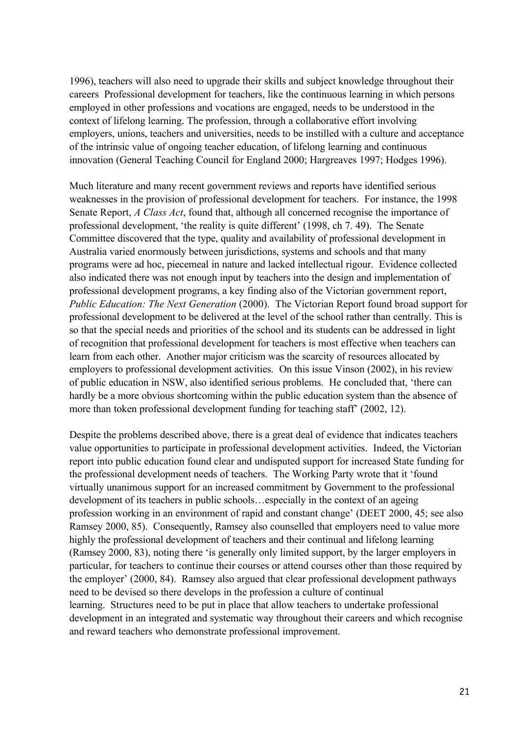1996), teachers will also need to upgrade their skills and subject knowledge throughout their careers Professional development for teachers, like the continuous learning in which persons employed in other professions and vocations are engaged, needs to be understood in the context of lifelong learning. The profession, through a collaborative effort involving employers, unions, teachers and universities, needs to be instilled with a culture and acceptance of the intrinsic value of ongoing teacher education, of lifelong learning and continuous innovation (General Teaching Council for England 2000; Hargreaves 1997; Hodges 1996).

Much literature and many recent government reviews and reports have identified serious weaknesses in the provision of professional development for teachers. For instance, the 1998 Senate Report, *A Class Act*, found that, although all concerned recognise the importance of professional development, 'the reality is quite different' (1998, ch 7. 49). The Senate Committee discovered that the type, quality and availability of professional development in Australia varied enormously between jurisdictions, systems and schools and that many programs were ad hoc, piecemeal in nature and lacked intellectual rigour. Evidence collected also indicated there was not enough input by teachers into the design and implementation of professional development programs, a key finding also of the Victorian government report, *Public Education: The Next Generation* (2000). The Victorian Report found broad support for professional development to be delivered at the level of the school rather than centrally. This is so that the special needs and priorities of the school and its students can be addressed in light of recognition that professional development for teachers is most effective when teachers can learn from each other. Another major criticism was the scarcity of resources allocated by employers to professional development activities. On this issue Vinson (2002), in his review of public education in NSW, also identified serious problems. He concluded that, 'there can hardly be a more obvious shortcoming within the public education system than the absence of more than token professional development funding for teaching staff' (2002, 12).

Despite the problems described above, there is a great deal of evidence that indicates teachers value opportunities to participate in professional development activities. Indeed, the Victorian report into public education found clear and undisputed support for increased State funding for the professional development needs of teachers. The Working Party wrote that it 'found virtually unanimous support for an increased commitment by Government to the professional development of its teachers in public schools…especially in the context of an ageing profession working in an environment of rapid and constant change' (DEET 2000, 45; see also Ramsey 2000, 85). Consequently, Ramsey also counselled that employers need to value more highly the professional development of teachers and their continual and lifelong learning (Ramsey 2000, 83), noting there 'is generally only limited support, by the larger employers in particular, for teachers to continue their courses or attend courses other than those required by the employer' (2000, 84). Ramsey also argued that clear professional development pathways need to be devised so there develops in the profession a culture of continual learning. Structures need to be put in place that allow teachers to undertake professional development in an integrated and systematic way throughout their careers and which recognise and reward teachers who demonstrate professional improvement.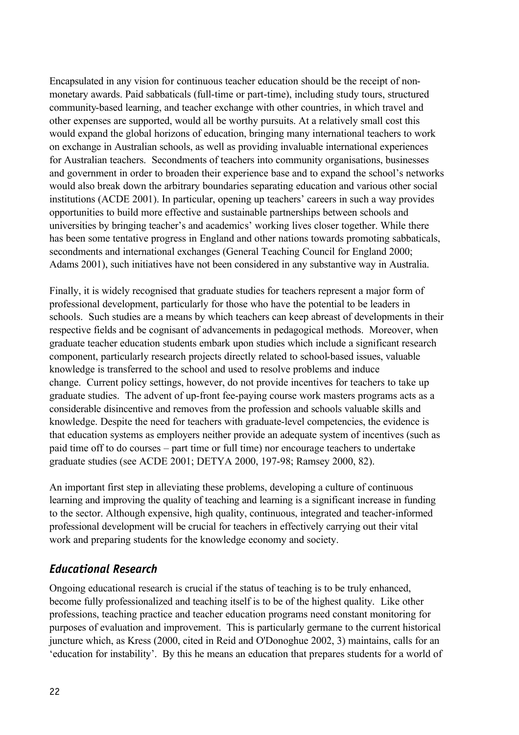Encapsulated in any vision for continuous teacher education should be the receipt of nonmonetary awards. Paid sabbaticals (full-time or part-time), including study tours, structured community-based learning, and teacher exchange with other countries, in which travel and other expenses are supported, would all be worthy pursuits. At a relatively small cost this would expand the global horizons of education, bringing many international teachers to work on exchange in Australian schools, as well as providing invaluable international experiences for Australian teachers. Secondments of teachers into community organisations, businesses and government in order to broaden their experience base and to expand the school's networks would also break down the arbitrary boundaries separating education and various other social institutions (ACDE 2001). In particular, opening up teachers' careers in such a way provides opportunities to build more effective and sustainable partnerships between schools and universities by bringing teacher's and academics' working lives closer together. While there has been some tentative progress in England and other nations towards promoting sabbaticals, secondments and international exchanges (General Teaching Council for England 2000; Adams 2001), such initiatives have not been considered in any substantive way in Australia.

Finally, it is widely recognised that graduate studies for teachers represent a major form of professional development, particularly for those who have the potential to be leaders in schools. Such studies are a means by which teachers can keep abreast of developments in their respective fields and be cognisant of advancements in pedagogical methods. Moreover, when graduate teacher education students embark upon studies which include a significant research component, particularly research projects directly related to school-based issues, valuable knowledge is transferred to the school and used to resolve problems and induce change. Current policy settings, however, do not provide incentives for teachers to take up graduate studies. The advent of up-front fee-paying course work masters programs acts as a considerable disincentive and removes from the profession and schools valuable skills and knowledge. Despite the need for teachers with graduate-level competencies, the evidence is that education systems as employers neither provide an adequate system of incentives (such as paid time off to do courses – part time or full time) nor encourage teachers to undertake graduate studies (see ACDE 2001; DETYA 2000, 197-98; Ramsey 2000, 82).

An important first step in alleviating these problems, developing a culture of continuous learning and improving the quality of teaching and learning is a significant increase in funding to the sector. Although expensive, high quality, continuous, integrated and teacher-informed professional development will be crucial for teachers in effectively carrying out their vital work and preparing students for the knowledge economy and society.

# *Educational Research*

Ongoing educational research is crucial if the status of teaching is to be truly enhanced, become fully professionalized and teaching itself is to be of the highest quality. Like other professions, teaching practice and teacher education programs need constant monitoring for purposes of evaluation and improvement. This is particularly germane to the current historical juncture which, as Kress (2000, cited in Reid and O'Donoghue 2002, 3) maintains, calls for an 'education for instability'. By this he means an education that prepares students for a world of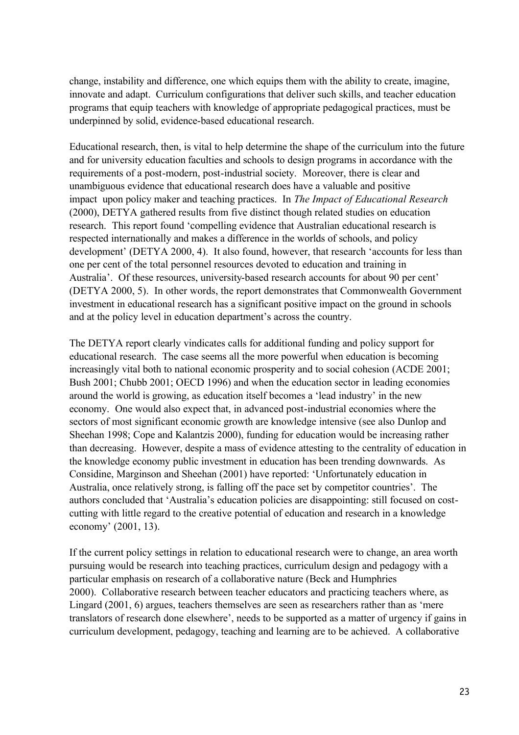change, instability and difference, one which equips them with the ability to create, imagine, innovate and adapt. Curriculum configurations that deliver such skills, and teacher education programs that equip teachers with knowledge of appropriate pedagogical practices, must be underpinned by solid, evidence-based educational research.

Educational research, then, is vital to help determine the shape of the curriculum into the future and for university education faculties and schools to design programs in accordance with the requirements of a post-modern, post-industrial society. Moreover, there is clear and unambiguous evidence that educational research does have a valuable and positive impact upon policy maker and teaching practices. In *The Impact of Educational Research*  (2000), DETYA gathered results from five distinct though related studies on education research. This report found 'compelling evidence that Australian educational research is respected internationally and makes a difference in the worlds of schools, and policy development' (DETYA 2000, 4). It also found, however, that research 'accounts for less than one per cent of the total personnel resources devoted to education and training in Australia'. Of these resources, university-based research accounts for about 90 per cent' (DETYA 2000, 5). In other words, the report demonstrates that Commonwealth Government investment in educational research has a significant positive impact on the ground in schools and at the policy level in education department's across the country.

The DETYA report clearly vindicates calls for additional funding and policy support for educational research. The case seems all the more powerful when education is becoming increasingly vital both to national economic prosperity and to social cohesion (ACDE 2001; Bush 2001; Chubb 2001; OECD 1996) and when the education sector in leading economies around the world is growing, as education itself becomes a 'lead industry' in the new economy. One would also expect that, in advanced post-industrial economies where the sectors of most significant economic growth are knowledge intensive (see also Dunlop and Sheehan 1998; Cope and Kalantzis 2000), funding for education would be increasing rather than decreasing. However, despite a mass of evidence attesting to the centrality of education in the knowledge economy public investment in education has been trending downwards. As Considine, Marginson and Sheehan (2001) have reported: 'Unfortunately education in Australia, once relatively strong, is falling off the pace set by competitor countries'. The authors concluded that 'Australia's education policies are disappointing: still focused on costcutting with little regard to the creative potential of education and research in a knowledge economy' (2001, 13).

If the current policy settings in relation to educational research were to change, an area worth pursuing would be research into teaching practices, curriculum design and pedagogy with a particular emphasis on research of a collaborative nature (Beck and Humphries 2000). Collaborative research between teacher educators and practicing teachers where, as Lingard (2001, 6) argues, teachers themselves are seen as researchers rather than as 'mere translators of research done elsewhere', needs to be supported as a matter of urgency if gains in curriculum development, pedagogy, teaching and learning are to be achieved. A collaborative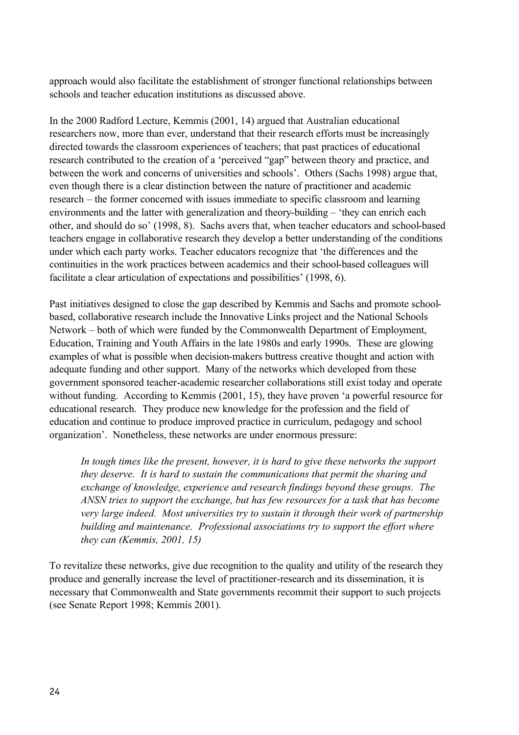approach would also facilitate the establishment of stronger functional relationships between schools and teacher education institutions as discussed above.

In the 2000 Radford Lecture, Kemmis (2001, 14) argued that Australian educational researchers now, more than ever, understand that their research efforts must be increasingly directed towards the classroom experiences of teachers; that past practices of educational research contributed to the creation of a 'perceived "gap" between theory and practice, and between the work and concerns of universities and schools'. Others (Sachs 1998) argue that, even though there is a clear distinction between the nature of practitioner and academic research – the former concerned with issues immediate to specific classroom and learning environments and the latter with generalization and theory-building – 'they can enrich each other, and should do so' (1998, 8). Sachs avers that, when teacher educators and school-based teachers engage in collaborative research they develop a better understanding of the conditions under which each party works. Teacher educators recognize that 'the differences and the continuities in the work practices between academics and their school-based colleagues will facilitate a clear articulation of expectations and possibilities' (1998, 6).

Past initiatives designed to close the gap described by Kemmis and Sachs and promote schoolbased, collaborative research include the Innovative Links project and the National Schools Network – both of which were funded by the Commonwealth Department of Employment, Education, Training and Youth Affairs in the late 1980s and early 1990s. These are glowing examples of what is possible when decision-makers buttress creative thought and action with adequate funding and other support. Many of the networks which developed from these government sponsored teacher-academic researcher collaborations still exist today and operate without funding. According to Kemmis (2001, 15), they have proven 'a powerful resource for educational research. They produce new knowledge for the profession and the field of education and continue to produce improved practice in curriculum, pedagogy and school organization'. Nonetheless, these networks are under enormous pressure:

*In tough times like the present, however, it is hard to give these networks the support they deserve. It is hard to sustain the communications that permit the sharing and exchange of knowledge, experience and research findings beyond these groups. The ANSN tries to support the exchange, but has few resources for a task that has become very large indeed. Most universities try to sustain it through their work of partnership building and maintenance. Professional associations try to support the effort where they can (Kemmis, 2001, 15)*

To revitalize these networks, give due recognition to the quality and utility of the research they produce and generally increase the level of practitioner-research and its dissemination, it is necessary that Commonwealth and State governments recommit their support to such projects (see Senate Report 1998; Kemmis 2001).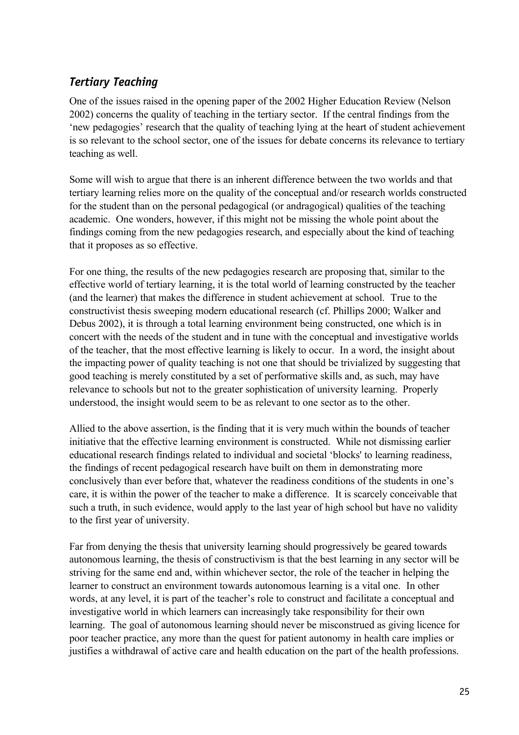# *Tertiary Teaching*

One of the issues raised in the opening paper of the 2002 Higher Education Review (Nelson 2002) concerns the quality of teaching in the tertiary sector. If the central findings from the 'new pedagogies' research that the quality of teaching lying at the heart of student achievement is so relevant to the school sector, one of the issues for debate concerns its relevance to tertiary teaching as well.

Some will wish to argue that there is an inherent difference between the two worlds and that tertiary learning relies more on the quality of the conceptual and/or research worlds constructed for the student than on the personal pedagogical (or andragogical) qualities of the teaching academic. One wonders, however, if this might not be missing the whole point about the findings coming from the new pedagogies research, and especially about the kind of teaching that it proposes as so effective.

For one thing, the results of the new pedagogies research are proposing that, similar to the effective world of tertiary learning, it is the total world of learning constructed by the teacher (and the learner) that makes the difference in student achievement at school. True to the constructivist thesis sweeping modern educational research (cf. Phillips 2000; Walker and Debus 2002), it is through a total learning environment being constructed, one which is in concert with the needs of the student and in tune with the conceptual and investigative worlds of the teacher, that the most effective learning is likely to occur. In a word, the insight about the impacting power of quality teaching is not one that should be trivialized by suggesting that good teaching is merely constituted by a set of performative skills and, as such, may have relevance to schools but not to the greater sophistication of university learning. Properly understood, the insight would seem to be as relevant to one sector as to the other.

Allied to the above assertion, is the finding that it is very much within the bounds of teacher initiative that the effective learning environment is constructed. While not dismissing earlier educational research findings related to individual and societal 'blocks' to learning readiness, the findings of recent pedagogical research have built on them in demonstrating more conclusively than ever before that, whatever the readiness conditions of the students in one's care, it is within the power of the teacher to make a difference. It is scarcely conceivable that such a truth, in such evidence, would apply to the last year of high school but have no validity to the first year of university.

Far from denying the thesis that university learning should progressively be geared towards autonomous learning, the thesis of constructivism is that the best learning in any sector will be striving for the same end and, within whichever sector, the role of the teacher in helping the learner to construct an environment towards autonomous learning is a vital one. In other words, at any level, it is part of the teacher's role to construct and facilitate a conceptual and investigative world in which learners can increasingly take responsibility for their own learning. The goal of autonomous learning should never be misconstrued as giving licence for poor teacher practice, any more than the quest for patient autonomy in health care implies or justifies a withdrawal of active care and health education on the part of the health professions.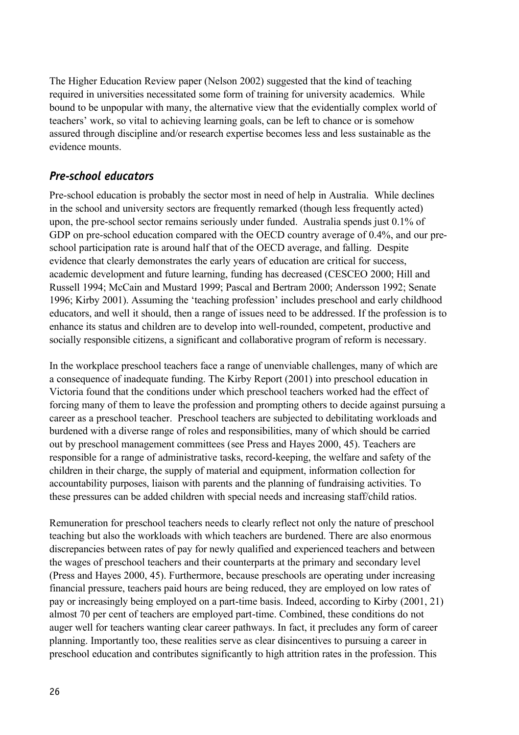The Higher Education Review paper (Nelson 2002) suggested that the kind of teaching required in universities necessitated some form of training for university academics. While bound to be unpopular with many, the alternative view that the evidentially complex world of teachers' work, so vital to achieving learning goals, can be left to chance or is somehow assured through discipline and/or research expertise becomes less and less sustainable as the evidence mounts.

## *Pre-school educators*

Pre-school education is probably the sector most in need of help in Australia. While declines in the school and university sectors are frequently remarked (though less frequently acted) upon, the pre-school sector remains seriously under funded. Australia spends just 0.1% of GDP on pre-school education compared with the OECD country average of 0.4%, and our preschool participation rate is around half that of the OECD average, and falling. Despite evidence that clearly demonstrates the early years of education are critical for success, academic development and future learning, funding has decreased (CESCEO 2000; Hill and Russell 1994; McCain and Mustard 1999; Pascal and Bertram 2000; Andersson 1992; Senate 1996; Kirby 2001). Assuming the 'teaching profession' includes preschool and early childhood educators, and well it should, then a range of issues need to be addressed. If the profession is to enhance its status and children are to develop into well-rounded, competent, productive and socially responsible citizens, a significant and collaborative program of reform is necessary.

In the workplace preschool teachers face a range of unenviable challenges, many of which are a consequence of inadequate funding. The Kirby Report (2001) into preschool education in Victoria found that the conditions under which preschool teachers worked had the effect of forcing many of them to leave the profession and prompting others to decide against pursuing a career as a preschool teacher. Preschool teachers are subjected to debilitating workloads and burdened with a diverse range of roles and responsibilities, many of which should be carried out by preschool management committees (see Press and Hayes 2000, 45). Teachers are responsible for a range of administrative tasks, record-keeping, the welfare and safety of the children in their charge, the supply of material and equipment, information collection for accountability purposes, liaison with parents and the planning of fundraising activities. To these pressures can be added children with special needs and increasing staff/child ratios.

Remuneration for preschool teachers needs to clearly reflect not only the nature of preschool teaching but also the workloads with which teachers are burdened. There are also enormous discrepancies between rates of pay for newly qualified and experienced teachers and between the wages of preschool teachers and their counterparts at the primary and secondary level (Press and Hayes 2000, 45). Furthermore, because preschools are operating under increasing financial pressure, teachers paid hours are being reduced, they are employed on low rates of pay or increasingly being employed on a part-time basis. Indeed, according to Kirby (2001, 21) almost 70 per cent of teachers are employed part-time. Combined, these conditions do not auger well for teachers wanting clear career pathways. In fact, it precludes any form of career planning. Importantly too, these realities serve as clear disincentives to pursuing a career in preschool education and contributes significantly to high attrition rates in the profession. This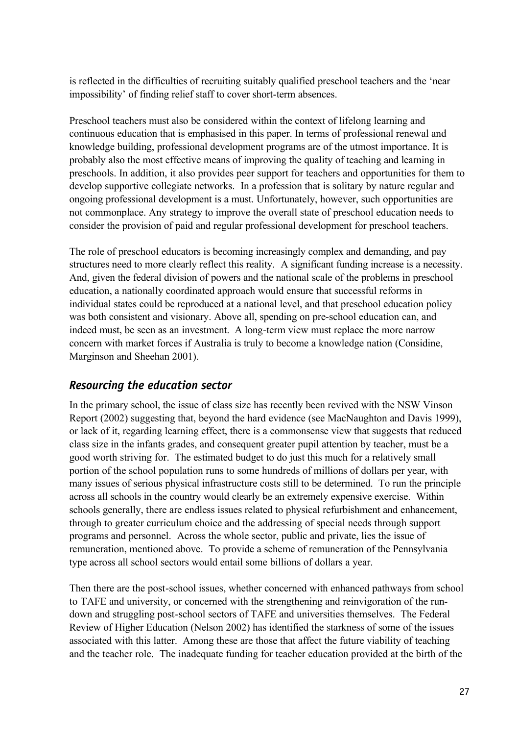is reflected in the difficulties of recruiting suitably qualified preschool teachers and the 'near impossibility' of finding relief staff to cover short-term absences.

Preschool teachers must also be considered within the context of lifelong learning and continuous education that is emphasised in this paper. In terms of professional renewal and knowledge building, professional development programs are of the utmost importance. It is probably also the most effective means of improving the quality of teaching and learning in preschools. In addition, it also provides peer support for teachers and opportunities for them to develop supportive collegiate networks. In a profession that is solitary by nature regular and ongoing professional development is a must. Unfortunately, however, such opportunities are not commonplace. Any strategy to improve the overall state of preschool education needs to consider the provision of paid and regular professional development for preschool teachers.

The role of preschool educators is becoming increasingly complex and demanding, and pay structures need to more clearly reflect this reality. A significant funding increase is a necessity. And, given the federal division of powers and the national scale of the problems in preschool education, a nationally coordinated approach would ensure that successful reforms in individual states could be reproduced at a national level, and that preschool education policy was both consistent and visionary. Above all, spending on pre-school education can, and indeed must, be seen as an investment. A long-term view must replace the more narrow concern with market forces if Australia is truly to become a knowledge nation (Considine, Marginson and Sheehan 2001).

# *Resourcing the education sector*

In the primary school, the issue of class size has recently been revived with the NSW Vinson Report (2002) suggesting that, beyond the hard evidence (see MacNaughton and Davis 1999), or lack of it, regarding learning effect, there is a commonsense view that suggests that reduced class size in the infants grades, and consequent greater pupil attention by teacher, must be a good worth striving for. The estimated budget to do just this much for a relatively small portion of the school population runs to some hundreds of millions of dollars per year, with many issues of serious physical infrastructure costs still to be determined. To run the principle across all schools in the country would clearly be an extremely expensive exercise. Within schools generally, there are endless issues related to physical refurbishment and enhancement, through to greater curriculum choice and the addressing of special needs through support programs and personnel. Across the whole sector, public and private, lies the issue of remuneration, mentioned above. To provide a scheme of remuneration of the Pennsylvania type across all school sectors would entail some billions of dollars a year.

Then there are the post-school issues, whether concerned with enhanced pathways from school to TAFE and university, or concerned with the strengthening and reinvigoration of the rundown and struggling post-school sectors of TAFE and universities themselves. The Federal Review of Higher Education (Nelson 2002) has identified the starkness of some of the issues associated with this latter. Among these are those that affect the future viability of teaching and the teacher role. The inadequate funding for teacher education provided at the birth of the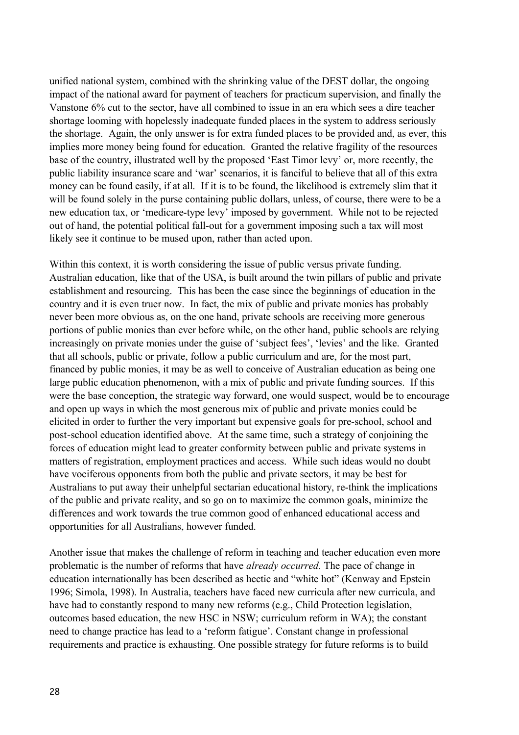unified national system, combined with the shrinking value of the DEST dollar, the ongoing impact of the national award for payment of teachers for practicum supervision, and finally the Vanstone 6% cut to the sector, have all combined to issue in an era which sees a dire teacher shortage looming with hopelessly inadequate funded places in the system to address seriously the shortage. Again, the only answer is for extra funded places to be provided and, as ever, this implies more money being found for education. Granted the relative fragility of the resources base of the country, illustrated well by the proposed 'East Timor levy' or, more recently, the public liability insurance scare and 'war' scenarios, it is fanciful to believe that all of this extra money can be found easily, if at all. If it is to be found, the likelihood is extremely slim that it will be found solely in the purse containing public dollars, unless, of course, there were to be a new education tax, or 'medicare-type levy' imposed by government. While not to be rejected out of hand, the potential political fall-out for a government imposing such a tax will most likely see it continue to be mused upon, rather than acted upon.

Within this context, it is worth considering the issue of public versus private funding. Australian education, like that of the USA, is built around the twin pillars of public and private establishment and resourcing. This has been the case since the beginnings of education in the country and it is even truer now. In fact, the mix of public and private monies has probably never been more obvious as, on the one hand, private schools are receiving more generous portions of public monies than ever before while, on the other hand, public schools are relying increasingly on private monies under the guise of 'subject fees', 'levies' and the like. Granted that all schools, public or private, follow a public curriculum and are, for the most part, financed by public monies, it may be as well to conceive of Australian education as being one large public education phenomenon, with a mix of public and private funding sources. If this were the base conception, the strategic way forward, one would suspect, would be to encourage and open up ways in which the most generous mix of public and private monies could be elicited in order to further the very important but expensive goals for pre-school, school and post-school education identified above. At the same time, such a strategy of conjoining the forces of education might lead to greater conformity between public and private systems in matters of registration, employment practices and access. While such ideas would no doubt have vociferous opponents from both the public and private sectors, it may be best for Australians to put away their unhelpful sectarian educational history, re-think the implications of the public and private reality, and so go on to maximize the common goals, minimize the differences and work towards the true common good of enhanced educational access and opportunities for all Australians, however funded.

Another issue that makes the challenge of reform in teaching and teacher education even more problematic is the number of reforms that have *already occurred.* The pace of change in education internationally has been described as hectic and "white hot" (Kenway and Epstein 1996; Simola, 1998). In Australia, teachers have faced new curricula after new curricula, and have had to constantly respond to many new reforms (e.g., Child Protection legislation, outcomes based education, the new HSC in NSW; curriculum reform in WA); the constant need to change practice has lead to a 'reform fatigue'. Constant change in professional requirements and practice is exhausting. One possible strategy for future reforms is to build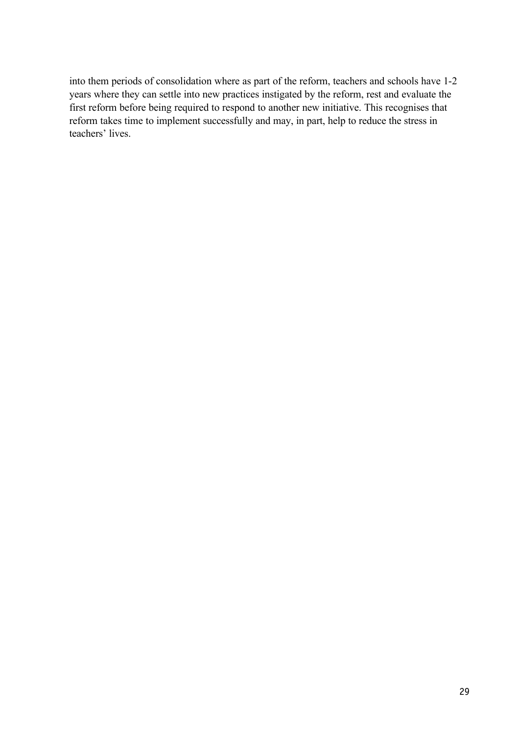into them periods of consolidation where as part of the reform, teachers and schools have 1-2 years where they can settle into new practices instigated by the reform, rest and evaluate the first reform before being required to respond to another new initiative. This recognises that reform takes time to implement successfully and may, in part, help to reduce the stress in teachers' lives.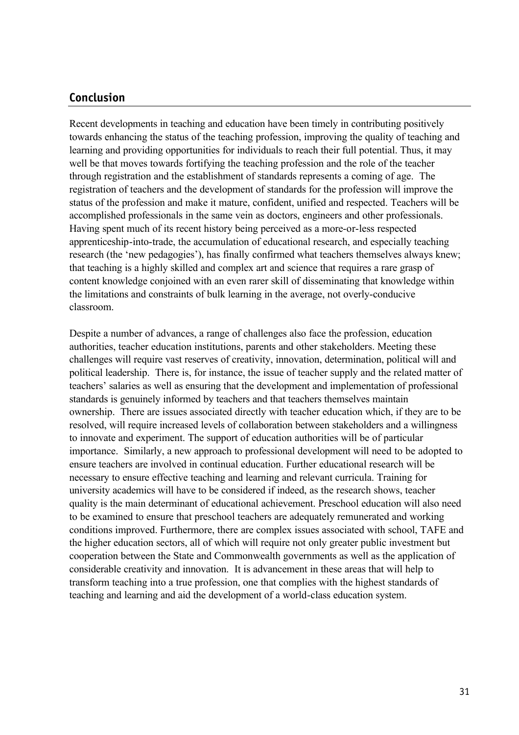#### **Conclusion**

Recent developments in teaching and education have been timely in contributing positively towards enhancing the status of the teaching profession, improving the quality of teaching and learning and providing opportunities for individuals to reach their full potential. Thus, it may well be that moves towards fortifying the teaching profession and the role of the teacher through registration and the establishment of standards represents a coming of age. The registration of teachers and the development of standards for the profession will improve the status of the profession and make it mature, confident, unified and respected. Teachers will be accomplished professionals in the same vein as doctors, engineers and other professionals. Having spent much of its recent history being perceived as a more-or-less respected apprenticeship-into-trade, the accumulation of educational research, and especially teaching research (the 'new pedagogies'), has finally confirmed what teachers themselves always knew; that teaching is a highly skilled and complex art and science that requires a rare grasp of content knowledge conjoined with an even rarer skill of disseminating that knowledge within the limitations and constraints of bulk learning in the average, not overly-conducive classroom.

Despite a number of advances, a range of challenges also face the profession, education authorities, teacher education institutions, parents and other stakeholders. Meeting these challenges will require vast reserves of creativity, innovation, determination, political will and political leadership. There is, for instance, the issue of teacher supply and the related matter of teachers' salaries as well as ensuring that the development and implementation of professional standards is genuinely informed by teachers and that teachers themselves maintain ownership. There are issues associated directly with teacher education which, if they are to be resolved, will require increased levels of collaboration between stakeholders and a willingness to innovate and experiment. The support of education authorities will be of particular importance. Similarly, a new approach to professional development will need to be adopted to ensure teachers are involved in continual education. Further educational research will be necessary to ensure effective teaching and learning and relevant curricula. Training for university academics will have to be considered if indeed, as the research shows, teacher quality is the main determinant of educational achievement. Preschool education will also need to be examined to ensure that preschool teachers are adequately remunerated and working conditions improved. Furthermore, there are complex issues associated with school, TAFE and the higher education sectors, all of which will require not only greater public investment but cooperation between the State and Commonwealth governments as well as the application of considerable creativity and innovation. It is advancement in these areas that will help to transform teaching into a true profession, one that complies with the highest standards of teaching and learning and aid the development of a world-class education system.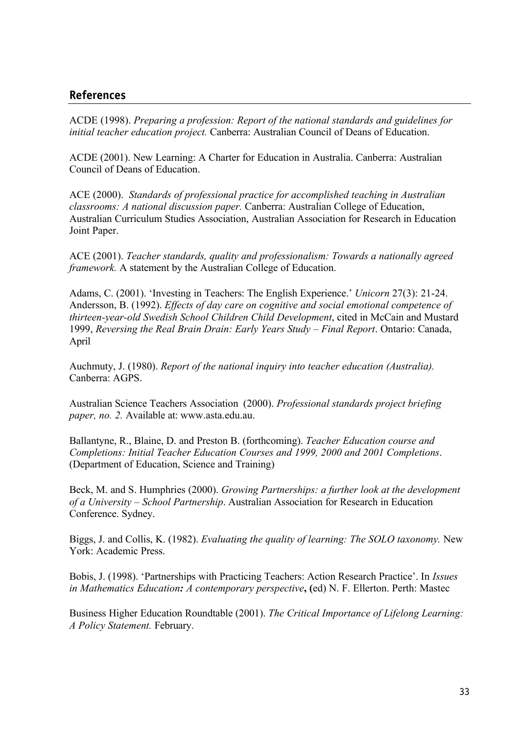#### **References**

ACDE (1998). *Preparing a profession: Report of the national standards and guidelines for initial teacher education project.* Canberra: Australian Council of Deans of Education.

ACDE (2001). New Learning: A Charter for Education in Australia. Canberra: Australian Council of Deans of Education.

ACE (2000). *Standards of professional practice for accomplished teaching in Australian classrooms: A national discussion paper.* Canberra: Australian College of Education, Australian Curriculum Studies Association, Australian Association for Research in Education Joint Paper.

ACE (2001). *Teacher standards, quality and professionalism: Towards a nationally agreed framework.* A statement by the Australian College of Education.

Adams, C. (2001). 'Investing in Teachers: The English Experience.' *Unicorn* 27(3): 21-24. Andersson, B. (1992). *Effects of day care on cognitive and social emotional competence of thirteen-year-old Swedish School Children Child Development*, cited in McCain and Mustard 1999, *Reversing the Real Brain Drain: Early Years Study – Final Report*. Ontario: Canada, April

Auchmuty, J. (1980). *Report of the national inquiry into teacher education (Australia).*  Canberra: AGPS.

Australian Science Teachers Association (2000). *Professional standards project briefing paper, no. 2.* Available at: www.asta.edu.au.

Ballantyne, R., Blaine, D. and Preston B. (forthcoming). *Teacher Education course and Completions: Initial Teacher Education Courses and 1999, 2000 and 2001 Completions*. (Department of Education, Science and Training)

Beck, M. and S. Humphries (2000). *Growing Partnerships: a further look at the development of a University – School Partnership*. Australian Association for Research in Education Conference. Sydney.

Biggs, J. and Collis, K. (1982). *Evaluating the quality of learning: The SOLO taxonomy.* New York: Academic Press.

Bobis, J. (1998). 'Partnerships with Practicing Teachers: Action Research Practice'. In *Issues in Mathematics Education: A contemporary perspective***, (**ed) N. F. Ellerton. Perth: Mastec

Business Higher Education Roundtable (2001). *The Critical Importance of Lifelong Learning: A Policy Statement.* February.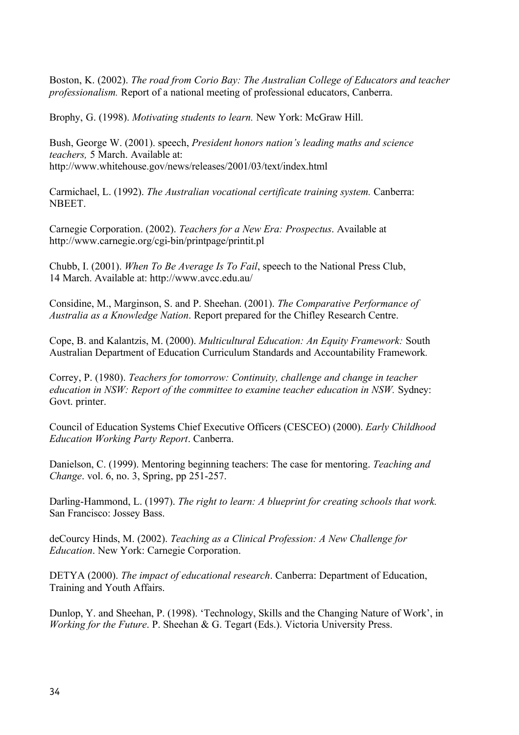Boston, K. (2002). *The road from Corio Bay: The Australian College of Educators and teacher professionalism.* Report of a national meeting of professional educators, Canberra.

Brophy, G. (1998). *Motivating students to learn.* New York: McGraw Hill.

Bush, George W. (2001). speech, *President honors nation's leading maths and science teachers,* 5 March. Available at: http://www.whitehouse.gov/news/releases/2001/03/text/index.html

Carmichael, L. (1992). *The Australian vocational certificate training system.* Canberra: **NBEET** 

Carnegie Corporation. (2002). *Teachers for a New Era: Prospectus*. Available at http://www.carnegie.org/cgi-bin/printpage/printit.pl

Chubb, I. (2001). *When To Be Average Is To Fail*, speech to the National Press Club, 14 March. Available at: http://www.avcc.edu.au/

Considine, M., Marginson, S. and P. Sheehan. (2001). *The Comparative Performance of Australia as a Knowledge Nation*. Report prepared for the Chifley Research Centre.

Cope, B. and Kalantzis, M. (2000). *Multicultural Education: An Equity Framework:* South Australian Department of Education Curriculum Standards and Accountability Framework*.*

Correy, P. (1980). *Teachers for tomorrow: Continuity, challenge and change in teacher education in NSW: Report of the committee to examine teacher education in NSW.* Sydney: Govt. printer.

Council of Education Systems Chief Executive Officers (CESCEO) (2000). *Early Childhood Education Working Party Report*. Canberra.

Danielson, C. (1999). Mentoring beginning teachers: The case for mentoring. *Teaching and Change*. vol. 6, no. 3, Spring, pp 251-257.

Darling-Hammond, L. (1997). *The right to learn: A blueprint for creating schools that work.* San Francisco: Jossey Bass.

deCourcy Hinds, M. (2002). *Teaching as a Clinical Profession: A New Challenge for Education*. New York: Carnegie Corporation.

DETYA (2000). *The impact of educational research*. Canberra: Department of Education, Training and Youth Affairs.

Dunlop, Y. and Sheehan, P. (1998). 'Technology, Skills and the Changing Nature of Work', in *Working for the Future*. P. Sheehan & G. Tegart (Eds.). Victoria University Press.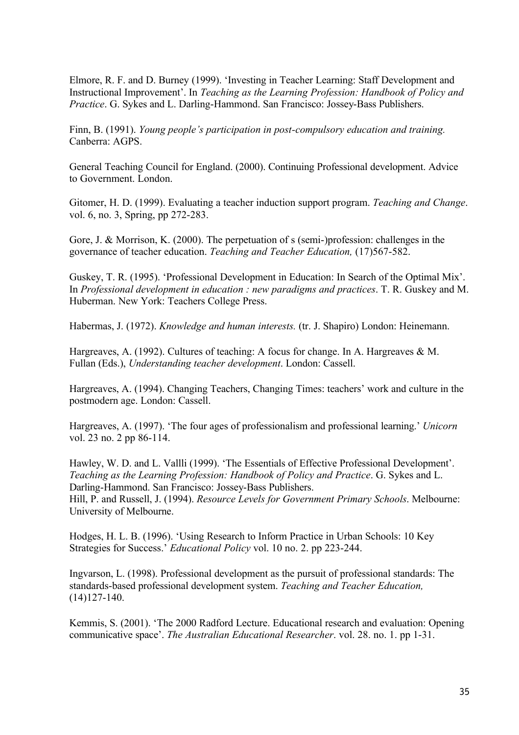Elmore, R. F. and D. Burney (1999). 'Investing in Teacher Learning: Staff Development and Instructional Improvement'. In *Teaching as the Learning Profession: Handbook of Policy and Practice*. G. Sykes and L. Darling-Hammond. San Francisco: Jossey-Bass Publishers.

Finn, B. (1991). *Young people's participation in post-compulsory education and training.*  Canberra: AGPS.

General Teaching Council for England. (2000). Continuing Professional development. Advice to Government. London.

Gitomer, H. D. (1999). Evaluating a teacher induction support program. *Teaching and Change*. vol. 6, no. 3, Spring, pp 272-283.

Gore, J. & Morrison, K. (2000). The perpetuation of s (semi-)profession: challenges in the governance of teacher education. *Teaching and Teacher Education,* (17)567-582.

Guskey, T. R. (1995). 'Professional Development in Education: In Search of the Optimal Mix'. In *Professional development in education : new paradigms and practices*. T. R. Guskey and M. Huberman. New York: Teachers College Press.

Habermas, J. (1972). *Knowledge and human interests.* (tr. J. Shapiro) London: Heinemann.

Hargreaves, A. (1992). Cultures of teaching: A focus for change. In A. Hargreaves & M. Fullan (Eds.), *Understanding teacher development*. London: Cassell.

Hargreaves, A. (1994). Changing Teachers, Changing Times: teachers' work and culture in the postmodern age. London: Cassell.

Hargreaves, A. (1997). 'The four ages of professionalism and professional learning.' *Unicorn* vol. 23 no. 2 pp 86-114.

Hawley, W. D. and L. Vallli (1999). 'The Essentials of Effective Professional Development'. *Teaching as the Learning Profession: Handbook of Policy and Practice*. G. Sykes and L. Darling-Hammond. San Francisco: Jossey-Bass Publishers. Hill, P. and Russell, J. (1994). *Resource Levels for Government Primary Schools*. Melbourne: University of Melbourne.

Hodges, H. L. B. (1996). 'Using Research to Inform Practice in Urban Schools: 10 Key Strategies for Success.' *Educational Policy* vol. 10 no. 2. pp 223-244.

Ingvarson, L. (1998). Professional development as the pursuit of professional standards: The standards-based professional development system. *Teaching and Teacher Education,*  (14)127-140.

Kemmis, S. (2001). 'The 2000 Radford Lecture. Educational research and evaluation: Opening communicative space'. *The Australian Educational Researcher*. vol. 28. no. 1. pp 1-31.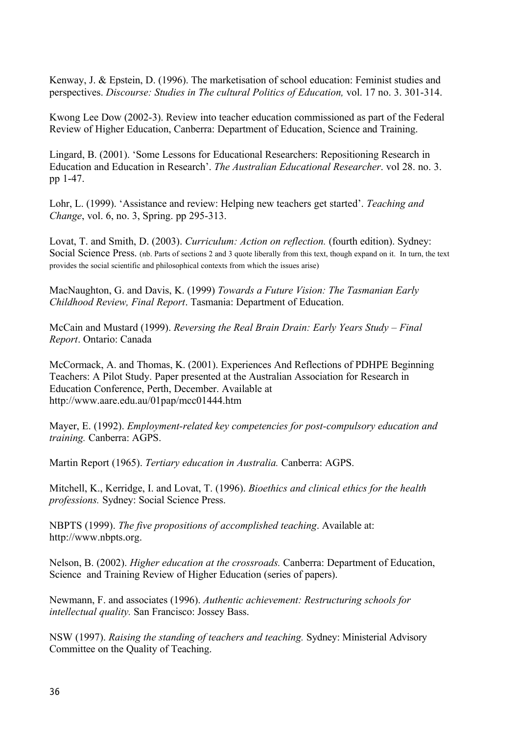Kenway, J. & Epstein, D. (1996). The marketisation of school education: Feminist studies and perspectives. *Discourse: Studies in The cultural Politics of Education,* vol. 17 no. 3. 301-314.

Kwong Lee Dow (2002-3). Review into teacher education commissioned as part of the Federal Review of Higher Education, Canberra: Department of Education, Science and Training.

Lingard, B. (2001). 'Some Lessons for Educational Researchers: Repositioning Research in Education and Education in Research'. *The Australian Educational Researcher*. vol 28. no. 3. pp 1-47.

Lohr, L. (1999). 'Assistance and review: Helping new teachers get started'. *Teaching and Change*, vol. 6, no. 3, Spring. pp 295-313.

Lovat, T. and Smith, D. (2003). *Curriculum: Action on reflection.* (fourth edition). Sydney: Social Science Press. (nb. Parts of sections 2 and 3 quote liberally from this text, though expand on it. In turn, the text provides the social scientific and philosophical contexts from which the issues arise)

MacNaughton, G. and Davis, K. (1999) *Towards a Future Vision: The Tasmanian Early Childhood Review, Final Report*. Tasmania: Department of Education.

McCain and Mustard (1999). *Reversing the Real Brain Drain: Early Years Study – Final Report*. Ontario: Canada

McCormack, A. and Thomas, K. (2001). Experiences And Reflections of PDHPE Beginning Teachers: A Pilot Study. Paper presented at the Australian Association for Research in Education Conference, Perth, December. Available at http://www.aare.edu.au/01pap/mcc01444.htm

Mayer, E. (1992). *Employment-related key competencies for post-compulsory education and training.* Canberra: AGPS.

Martin Report (1965). *Tertiary education in Australia.* Canberra: AGPS.

Mitchell, K., Kerridge, I. and Lovat, T. (1996). *Bioethics and clinical ethics for the health professions.* Sydney: Social Science Press.

NBPTS (1999). *The five propositions of accomplished teaching*. Available at: http://www.nbpts.org.

Nelson, B. (2002). *Higher education at the crossroads.* Canberra: Department of Education, Science and Training Review of Higher Education (series of papers).

Newmann, F. and associates (1996). *Authentic achievement: Restructuring schools for intellectual quality.* San Francisco: Jossey Bass.

NSW (1997). *Raising the standing of teachers and teaching.* Sydney: Ministerial Advisory Committee on the Quality of Teaching.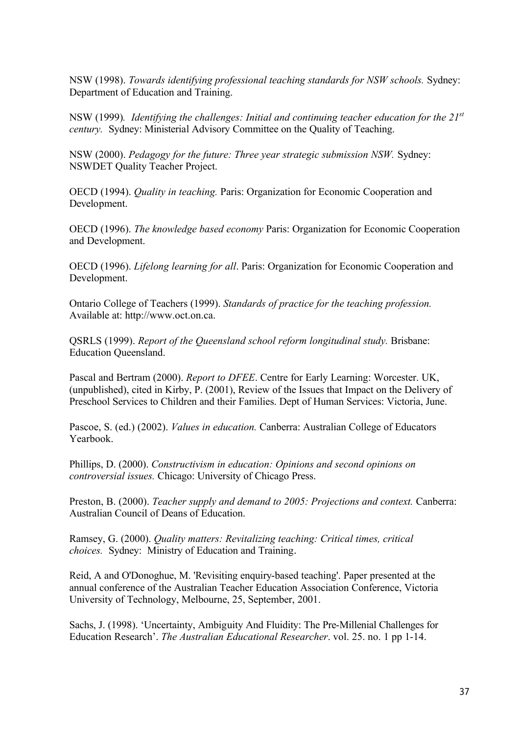NSW (1998). *Towards identifying professional teaching standards for NSW schools.* Sydney: Department of Education and Training.

NSW (1999)*. Identifying the challenges: Initial and continuing teacher education for the 21st century.* Sydney: Ministerial Advisory Committee on the Quality of Teaching.

NSW (2000). *Pedagogy for the future: Three year strategic submission NSW.* Sydney: NSWDET Quality Teacher Project.

OECD (1994). *Quality in teaching.* Paris: Organization for Economic Cooperation and Development.

OECD (1996). *The knowledge based economy* Paris: Organization for Economic Cooperation and Development.

OECD (1996). *Lifelong learning for all*. Paris: Organization for Economic Cooperation and Development.

Ontario College of Teachers (1999). *Standards of practice for the teaching profession.*  Available at: http://www.oct.on.ca.

QSRLS (1999). *Report of the Queensland school reform longitudinal study.* Brisbane: Education Queensland.

Pascal and Bertram (2000). *Report to DFEE*. Centre for Early Learning: Worcester. UK, (unpublished), cited in Kirby, P. (2001), Review of the Issues that Impact on the Delivery of Preschool Services to Children and their Families. Dept of Human Services: Victoria, June.

Pascoe, S. (ed.) (2002). *Values in education.* Canberra: Australian College of Educators Yearbook.

Phillips, D. (2000). *Constructivism in education: Opinions and second opinions on controversial issues.* Chicago: University of Chicago Press.

Preston, B. (2000). *Teacher supply and demand to 2005: Projections and context*. Canberra: Australian Council of Deans of Education.

Ramsey, G. (2000). *Quality matters: Revitalizing teaching: Critical times, critical choices.* Sydney: Ministry of Education and Training.

Reid, A and O'Donoghue, M. 'Revisiting enquiry-based teaching'. Paper presented at the annual conference of the Australian Teacher Education Association Conference, Victoria University of Technology, Melbourne, 25, September, 2001.

Sachs, J. (1998). 'Uncertainty, Ambiguity And Fluidity: The Pre-Millenial Challenges for Education Research'. *The Australian Educational Researcher*. vol. 25. no. 1 pp 1-14.